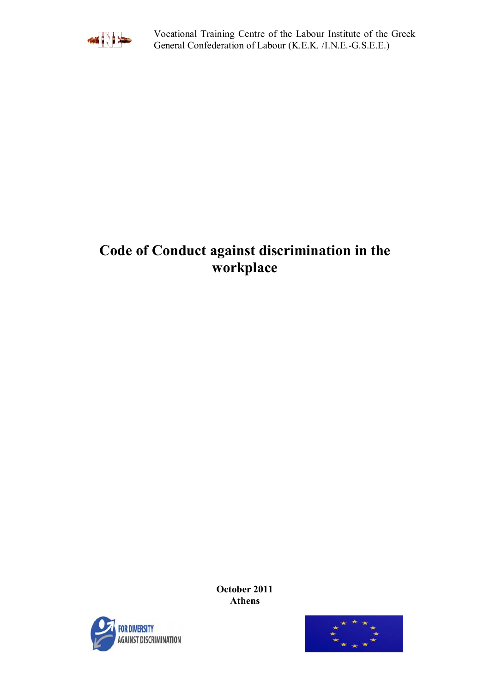

[Vocational Training Centre of the Labour Ins](http://eur-lex.europa.eu/LexUriServ/LexUriServ.do?uri=CELEX:32000L0078:el:HTML)titute of the Greek General Confederation of Labour (K.E.K. /I.N.E.-G.S.E.E.)

# **Code of Conduct against discrimination in the workplace**

**October 2011 Athens**



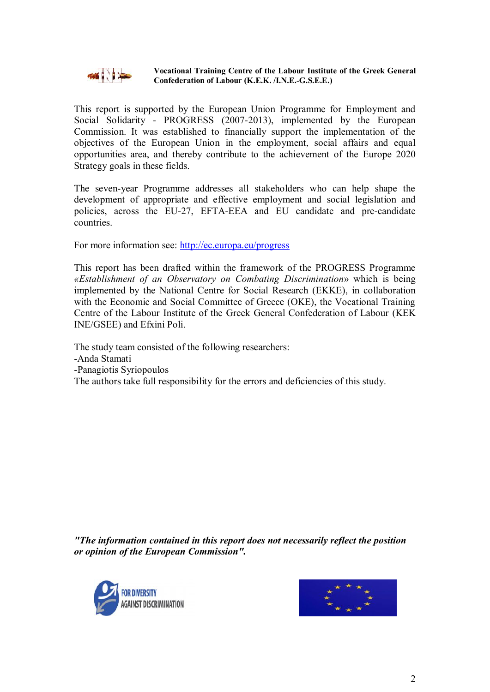

#### **Vocational Training Centre of the Labour Institute of the Greek General Confederation of Labour (K.E.K. /I.N.E.-G.S.E.E.)**

This report is supported by the European Union Programme for Employment and Social Solidarity - PROGRESS (2007-2013), implemented by the European Commission. It was established to financially support the implementation of the objectives of the European Union in the employment, social affairs and equal opportunities area, and thereby contribute to the achievement of the Europe 2020 Strategy goals in these fields.

The seven-year Programme addresses all stakeholders who can help shape the development of appropriate and effective employment and social legislation and policies, across the EU-27, EFTA-EEA and EU candidate and pre-candidate countries.

For more information see: <http://ec.europa.eu/progress>

This report has been drafted within the framework of the PROGRESS Programme *«Establishment of an Observatory on Combating Discrimination*» which is being implemented by the National Centre for Social Research (EKKE), in collaboration with the Economic and Social Committee of Greece (OKE), the Vocational Training Centre of the Labour Institute of the Greek General Confederation of Labour (KEK INE/GSEE) and Efxini Poli.

The study team consisted of the following researchers: -Anda Stamati -Panagiotis Syriopoulos The authors take full responsibility for the errors and deficiencies of this study.

*"The information contained in this report does not necessarily reflect the position or opinion of the European Commission".*



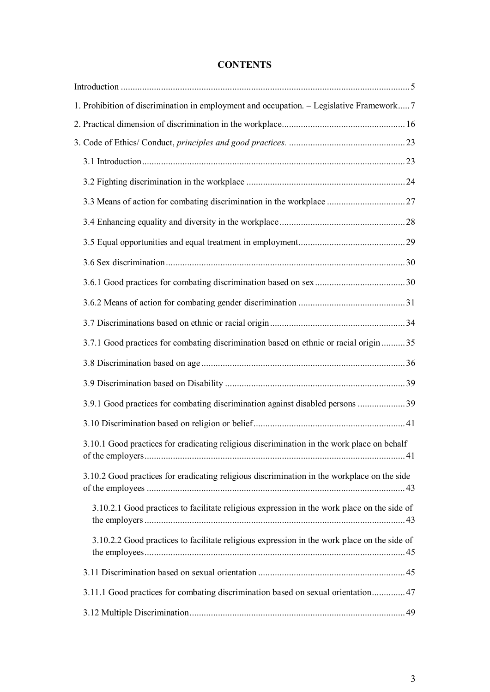### **CONTENTS**

| 1. Prohibition of discrimination in employment and occupation. - Legislative Framework 7    |  |
|---------------------------------------------------------------------------------------------|--|
|                                                                                             |  |
|                                                                                             |  |
|                                                                                             |  |
|                                                                                             |  |
|                                                                                             |  |
|                                                                                             |  |
|                                                                                             |  |
|                                                                                             |  |
|                                                                                             |  |
|                                                                                             |  |
|                                                                                             |  |
| 3.7.1 Good practices for combating discrimination based on ethnic or racial origin35        |  |
|                                                                                             |  |
|                                                                                             |  |
| 3.9.1 Good practices for combating discrimination against disabled persons  39              |  |
|                                                                                             |  |
| 3.10.1 Good practices for eradicating religious discrimination in the work place on behalf  |  |
| 3.10.2 Good practices for eradicating religious discrimination in the workplace on the side |  |
| 3.10.2.1 Good practices to facilitate religious expression in the work place on the side of |  |
| 3.10.2.2 Good practices to facilitate religious expression in the work place on the side of |  |
|                                                                                             |  |
| 3.11.1 Good practices for combating discrimination based on sexual orientation 47           |  |
|                                                                                             |  |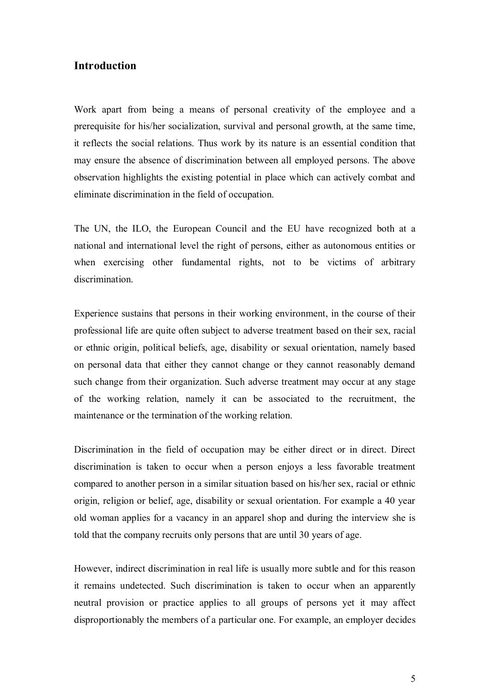### <span id="page-4-0"></span>**Introduction**

Work apart from being a means of personal creativity of the employee and a prerequisite for his/her socialization, survival and personal growth, at the same time, it reflects the social relations. Thus work by its nature is an essential condition that may ensure the absence of discrimination between all employed persons. The above observation highlights the existing potential in place which can actively combat and eliminate discrimination in the field of occupation.

The UN, the ILO, the European Council and the EU have recognized both at a national and international level the right of persons, either as autonomous entities or when exercising other fundamental rights, not to be victims of arbitrary discrimination.

Experience sustains that persons in their working environment, in the course of their professional life are quite often subject to adverse treatment based on their sex, racial or ethnic origin, political beliefs, age, disability or sexual orientation, namely based on personal data that either they cannot change or they cannot reasonably demand such change from their organization. Such adverse treatment may occur at any stage of the working relation, namely it can be associated to the recruitment, the maintenance or the termination of the working relation.

Discrimination in the field of occupation may be either direct or in direct. Direct discrimination is taken to occur when a person enjoys a less favorable treatment compared to another person in a similar situation based on his/her sex, racial or ethnic origin, religion or belief, age, disability or sexual orientation. For example a 40 year old woman applies for a vacancy in an apparel shop and during the interview she is told that the company recruits only persons that are until 30 years of age.

However, indirect discrimination in real life is usually more subtle and for this reason it remains undetected. Such discrimination is taken to occur when an apparently neutral provision or practice applies to all groups of persons yet it may affect disproportionably the members of a particular one. For example, an employer decides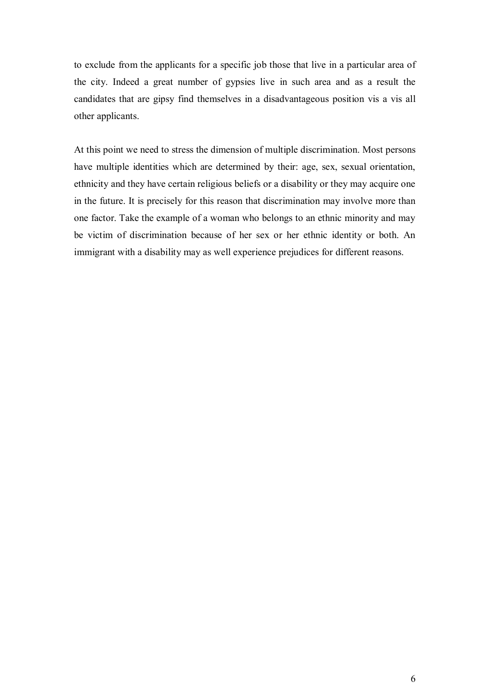to exclude from the applicants for a specific job those that live in a particular area of the city. Indeed a great number of gypsies live in such area and as a result the candidates that are gipsy find themselves in a disadvantageous position vis a vis all other applicants.

At this point we need to stress the dimension of multiple discrimination. Most persons have multiple identities which are determined by their: age, sex, sexual orientation, ethnicity and they have certain religious beliefs or a disability or they may acquire one in the future. It is precisely for this reason that discrimination may involve more than one factor. Take the example of a woman who belongs to an ethnic minority and may be victim of discrimination because of her sex or her ethnic identity or both. An immigrant with a disability may as well experience prejudices for different reasons.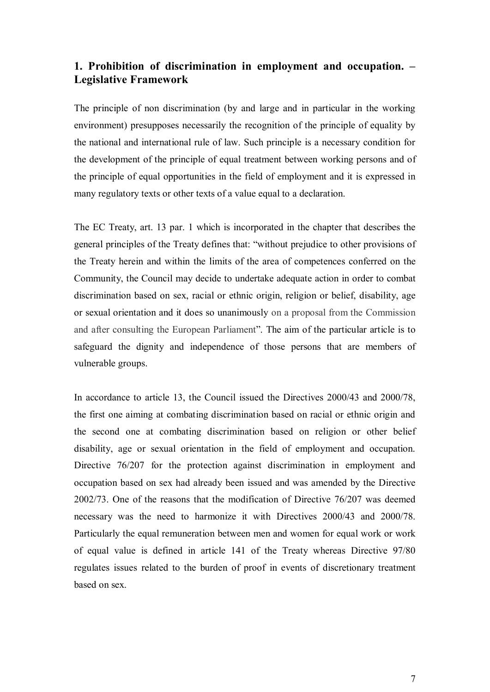### <span id="page-6-0"></span>**1. Prohibition of discrimination in employment and occupation. – Legislative Framework**

The principle of non discrimination (by and large and in particular in the working environment) presupposes necessarily the recognition of the principle of equality by the national and international rule of law. Such principle is a necessary condition for the development of the principle of equal treatment between working persons and of the principle of equal opportunities in the field of employment and it is expressed in many regulatory texts or other texts of a value equal to a declaration.

The EC Treaty, art. 13 par. 1 which is incorporated in the chapter that describes the general principles of the Treaty defines that: "without prejudice to other provisions of the Treaty herein and within the limits of the area of competences conferred on the Community, the Council may decide to undertake adequate action in order to combat discrimination based on sex, racial or ethnic origin, religion or belief, disability, age or sexual orientation and it does so unanimously on a proposal from the Commission and after consulting the European Parliament". The aim of the particular article is to safeguard the dignity and independence of those persons that are members of vulnerable groups.

In accordance to article 13, the Council issued the Directives 2000/43 and 2000/78, the first one aiming at combating discrimination based on racial or ethnic origin and the second one at combating discrimination based on religion or other belief disability, age or sexual orientation in the field of employment and occupation. Directive 76/207 for the protection against discrimination in employment and occupation based on sex had already been issued and was amended by the Directive 2002/73. One of the reasons that the modification of Directive 76/207 was deemed necessary was the need to harmonize it with Directives 2000/43 and 2000/78. Particularly the equal remuneration between men and women for equal work or work of equal value is defined in article 141 of the Treaty whereas Directive 97/80 regulates issues related to the burden of proof in events of discretionary treatment based on sex.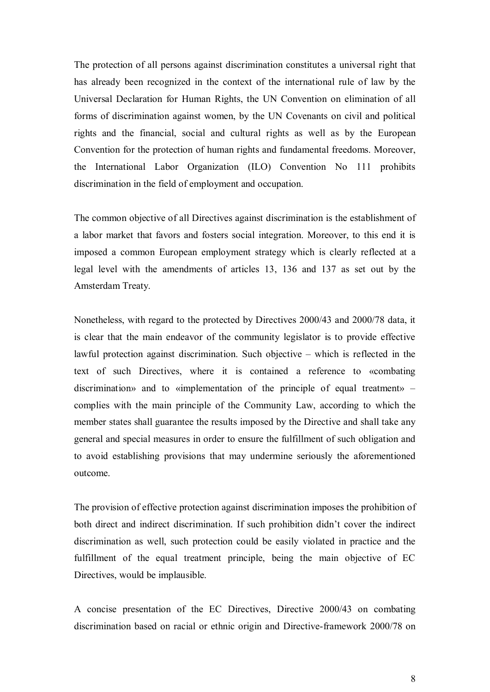The protection of all persons against discrimination constitutes a universal right that has already been recognized in the context of the international rule of law by the Universal Declaration for Human Rights, the UN Convention on elimination of all forms of discrimination against women, by the UN Covenants on civil and political rights and the financial, social and cultural rights as well as by the European Convention for the protection of human rights and fundamental freedoms. Moreover, the International Labor Organization (ILO) Convention No 111 prohibits discrimination in the field of employment and occupation.

The common objective of all Directives against discrimination is the establishment of a labor market that favors and fosters social integration. Moreover, to this end it is imposed a common European employment strategy which is clearly reflected at a legal level with the amendments of articles 13, 136 and 137 as set out by the Amsterdam Treaty.

Nonetheless, with regard to the protected by Directives 2000/43 and 2000/78 data, it is clear that the main endeavor of the community legislator is to provide effective lawful protection against discrimination. Such objective – which is reflected in the text of such Directives, where it is contained a reference to «combating discrimination» and to «implementation of the principle of equal treatment» – complies with the main principle of the Community Law, according to which the member states shall guarantee the results imposed by the Directive and shall take any general and special measures in order to ensure the fulfillment of such obligation and to avoid establishing provisions that may undermine seriously the aforementioned outcome.

The provision of effective protection against discrimination imposes the prohibition of both direct and indirect discrimination. If such prohibition didn't cover the indirect discrimination as well, such protection could be easily violated in practice and the fulfillment of the equal treatment principle, being the main objective of EC Directives, would be implausible.

A concise presentation of the EC Directives, Directive 2000/43 on combating discrimination based on racial or ethnic origin and Directive-framework 2000/78 on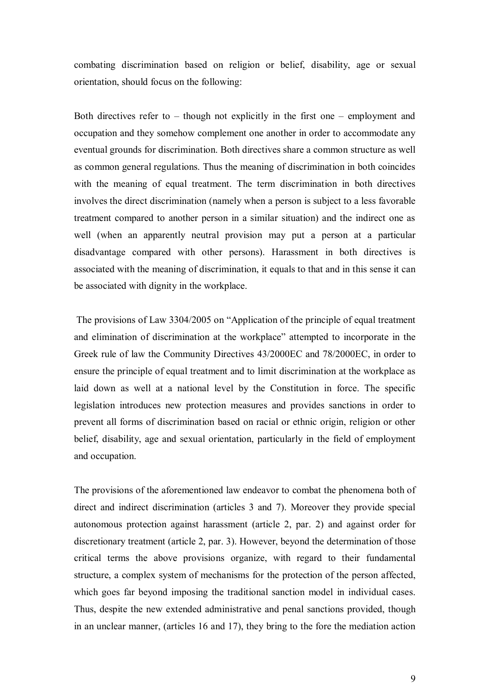combating discrimination based on religion or belief, disability, age or sexual orientation, should focus on the following:

Both directives refer to  $-$  though not explicitly in the first one  $-$  employment and occupation and they somehow complement one another in order to accommodate any eventual grounds for discrimination. Both directives share a common structure as well as common general regulations. Thus the meaning of discrimination in both coincides with the meaning of equal treatment. The term discrimination in both directives involves the direct discrimination (namely when a person is subject to a less favorable treatment compared to another person in a similar situation) and the indirect one as well (when an apparently neutral provision may put a person at a particular disadvantage compared with other persons). Harassment in both directives is associated with the meaning of discrimination, it equals to that and in this sense it can be associated with dignity in the workplace.

 The provisions of Law 3304/2005 on "Application of the principle of equal treatment and elimination of discrimination at the workplace" attempted to incorporate in the Greek rule of law the Community Directives  $43/2000EC$  and  $78/2000EC$ , in order to ensure the principle of equal treatment and to limit discrimination at the workplace as laid down as well at a national level by the Constitution in force. The specific legislation introduces new protection measures and provides sanctions in order to prevent all forms of discrimination based on racial or ethnic origin, religion or other belief, disability, age and sexual orientation, particularly in the field of employment and occupation.

The provisions of the aforementioned law endeavor to combat the phenomena both of direct and indirect discrimination (articles 3 and 7). Moreover they provide special autonomous protection against harassment (article 2, par. 2) and against order for discretionary treatment (article 2, par. 3). However, beyond the determination of those critical terms the above provisions organize, with regard to their fundamental structure, a complex system of mechanisms for the protection of the person affected, which goes far beyond imposing the traditional sanction model in individual cases. Thus, despite the new extended administrative and penal sanctions provided, though in an unclear manner, (articles 16 and 17), they bring to the fore the mediation action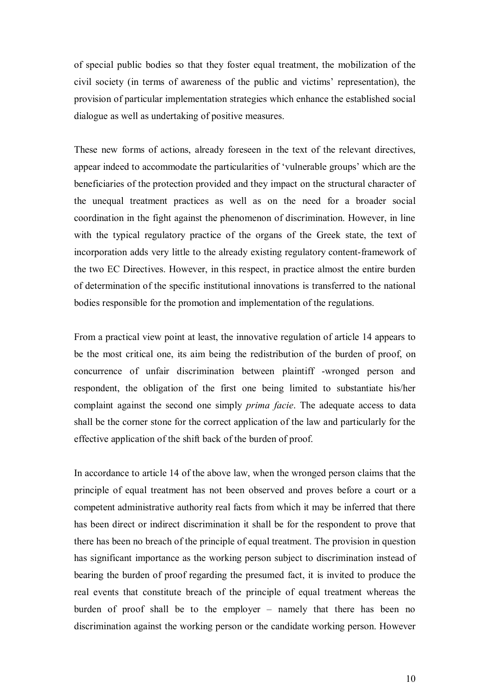of special public bodies so that they foster equal treatment, the mobilization of the civil society (in terms of awareness of the public and victims' representation), the provision of particular implementation strategies which enhance the established social dialogue as well as undertaking of positive measures.

These new forms of actions, already foreseen in the text of the relevant directives, appear indeed to accommodate the particularities of 'vulnerable groups' which are the beneficiaries of the protection provided and they impact on the structural character of the unequal treatment practices as well as on the need for a broader social coordination in the fight against the phenomenon of discrimination. However, in line with the typical regulatory practice of the organs of the Greek state, the text of incorporation adds very little to the already existing regulatory content-framework of the two EC Directives. However, in this respect, in practice almost the entire burden of determination of the specific institutional innovations is transferred to the national bodies responsible for the promotion and implementation of the regulations.

From a practical view point at least, the innovative regulation of article 14 appears to be the most critical one, its aim being the redistribution of the burden of proof, on concurrence of unfair discrimination between plaintiff -wronged person and respondent, the obligation of the first one being limited to substantiate his/her complaint against the second one simply *prima facie*. The adequate access to data shall be the corner stone for the correct application of the law and particularly for the effective application of the shift back of the burden of proof.

In accordance to article 14 of the above law, when the wronged person claims that the principle of equal treatment has not been observed and proves before a court or a competent administrative authority real facts from which it may be inferred that there has been direct or indirect discrimination it shall be for the respondent to prove that there has been no breach of the principle of equal treatment. The provision in question has significant importance as the working person subject to discrimination instead of bearing the burden of proof regarding the presumed fact, it is invited to produce the real events that constitute breach of the principle of equal treatment whereas the burden of proof shall be to the employer – namely that there has been no discrimination against the working person or the candidate working person. However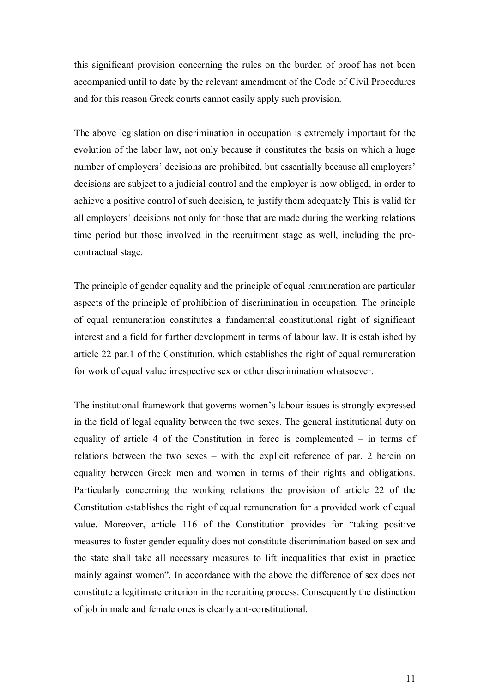this significant provision concerning the rules on the burden of proof has not been accompanied until to date by the relevant amendment of the Code of Civil Procedures and for this reason Greek courts cannot easily apply such provision.

The above legislation on discrimination in occupation is extremely important for the evolution of the labor law, not only because it constitutes the basis on which a huge number of employers' decisions are prohibited, but essentially because all employers' decisions are subject to a judicial control and the employer is now obliged, in order to achieve a positive control of such decision, to justify them adequately This is valid for all employers' decisions not only for those that are made during the working relations time period but those involved in the recruitment stage as well, including the precontractual stage.

The principle of gender equality and the principle of equal remuneration are particular aspects of the principle of prohibition of discrimination in occupation. The principle of equal remuneration constitutes a fundamental constitutional right of significant interest and a field for further development in terms of labour law. It is established by article 22 par.1 of the Constitution, which establishes the right of equal remuneration for work of equal value irrespective sex or other discrimination whatsoever.

The institutional framework that governs women's labour issues is strongly expressed in the field of legal equality between the two sexes. The general institutional duty on equality of article 4 of the Constitution in force is complemented – in terms of relations between the two sexes – with the explicit reference of par. 2 herein on equality between Greek men and women in terms of their rights and obligations. Particularly concerning the working relations the provision of article 22 of the Constitution establishes the right of equal remuneration for a provided work of equal value. Moreover, article 116 of the Constitution provides for "taking positive measures to foster gender equality does not constitute discrimination based on sex and the state shall take all necessary measures to lift inequalities that exist in practice mainly against women". In accordance with the above the difference of sex does not constitute a legitimate criterion in the recruiting process. Consequently the distinction of job in male and female ones is clearly ant-constitutional.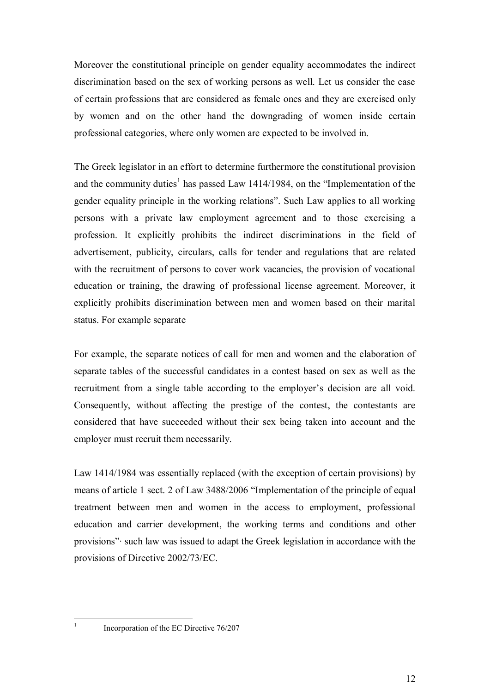Moreover the constitutional principle on gender equality accommodates the indirect discrimination based on the sex of working persons as well. Let us consider the case of certain professions that are considered as female ones and they are exercised only by women and on the other hand the downgrading of women inside certain professional categories, where only women are expected to be involved in.

The Greek legislator in an effort to determine furthermore the constitutional provision and the community duties<sup>1</sup> [h](#page-11-0)as passed Law 1414/1984, on the "Implementation of the gender equality principle in the working relations". Such Law applies to all working persons with a private law employment agreement and to those exercising a profession. It explicitly prohibits the indirect discriminations in the field of advertisement, publicity, circulars, calls for tender and regulations that are related with the recruitment of persons to cover work vacancies, the provision of vocational education or training, the drawing of professional license agreement. Moreover, it explicitly prohibits discrimination between men and women based on their marital status. For example separate

For example, the separate notices of call for men and women and the elaboration of separate tables of the successful candidates in a contest based on sex as well as the recruitment from a single table according to the employer's decision are all void. Consequently, without affecting the prestige of the contest, the contestants are considered that have succeeded without their sex being taken into account and the employer must recruit them necessarily.

Law 1414/1984 was essentially replaced (with the exception of certain provisions) by means of article 1 sect. 2 of Law 3488/2006 "Implementation of the principle of equal treatment between men and women in the access to employment, professional education and carrier development, the working terms and conditions and other provisions"· such law was issued to adapt the Greek legislation in accordance with the provisions of Directive 2002/73/EC.

<span id="page-11-0"></span>1

Incorporation of the EC Directive 76/207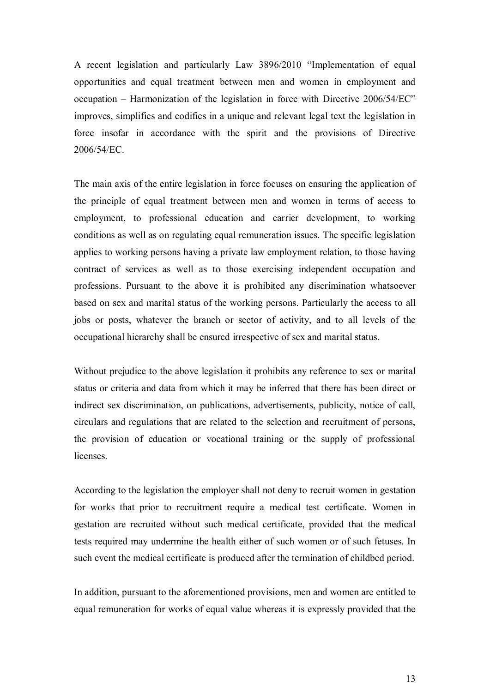A recent legislation and particularly Law 3896/2010 "Implementation of equal opportunities and equal treatment between men and women in employment and occupation – Harmonization of the legislation in force with Directive 2006/54/EC" improves, simplifies and codifies in a unique and relevant legal text the legislation in force insofar in accordance with the spirit and the provisions of Directive 2006/54/ǼC.

The main axis of the entire legislation in force focuses on ensuring the application of the principle of equal treatment between men and women in terms of access to employment, to professional education and carrier development, to working conditions as well as on regulating equal remuneration issues. The specific legislation applies to working persons having a private law employment relation, to those having contract of services as well as to those exercising independent occupation and professions. Pursuant to the above it is prohibited any discrimination whatsoever based on sex and marital status of the working persons. Particularly the access to all jobs or posts, whatever the branch or sector of activity, and to all levels of the occupational hierarchy shall be ensured irrespective of sex and marital status.

Without prejudice to the above legislation it prohibits any reference to sex or marital status or criteria and data from which it may be inferred that there has been direct or indirect sex discrimination, on publications, advertisements, publicity, notice of call, circulars and regulations that are related to the selection and recruitment of persons, the provision of education or vocational training or the supply of professional **licenses** 

According to the legislation the employer shall not deny to recruit women in gestation for works that prior to recruitment require a medical test certificate. Women in gestation are recruited without such medical certificate, provided that the medical tests required may undermine the health either of such women or of such fetuses. In such event the medical certificate is produced after the termination of childbed period.

In addition, pursuant to the aforementioned provisions, men and women are entitled to equal remuneration for works of equal value whereas it is expressly provided that the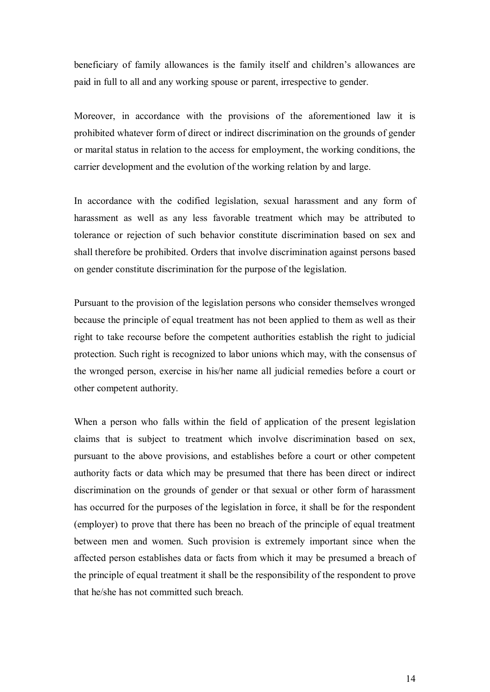beneficiary of family allowances is the family itself and children's allowances are paid in full to all and any working spouse or parent, irrespective to gender.

Moreover, in accordance with the provisions of the aforementioned law it is prohibited whatever form of direct or indirect discrimination on the grounds of gender or marital status in relation to the access for employment, the working conditions, the carrier development and the evolution of the working relation by and large.

In accordance with the codified legislation, sexual harassment and any form of harassment as well as any less favorable treatment which may be attributed to tolerance or rejection of such behavior constitute discrimination based on sex and shall therefore be prohibited. Orders that involve discrimination against persons based on gender constitute discrimination for the purpose of the legislation.

Pursuant to the provision of the legislation persons who consider themselves wronged because the principle of equal treatment has not been applied to them as well as their right to take recourse before the competent authorities establish the right to judicial protection. Such right is recognized to labor unions which may, with the consensus of the wronged person, exercise in his/her name all judicial remedies before a court or other competent authority.

When a person who falls within the field of application of the present legislation claims that is subject to treatment which involve discrimination based on sex, pursuant to the above provisions, and establishes before a court or other competent authority facts or data which may be presumed that there has been direct or indirect discrimination on the grounds of gender or that sexual or other form of harassment has occurred for the purposes of the legislation in force, it shall be for the respondent (employer) to prove that there has been no breach of the principle of equal treatment between men and women. Such provision is extremely important since when the affected person establishes data or facts from which it may be presumed a breach of the principle of equal treatment it shall be the responsibility of the respondent to prove that he/she has not committed such breach.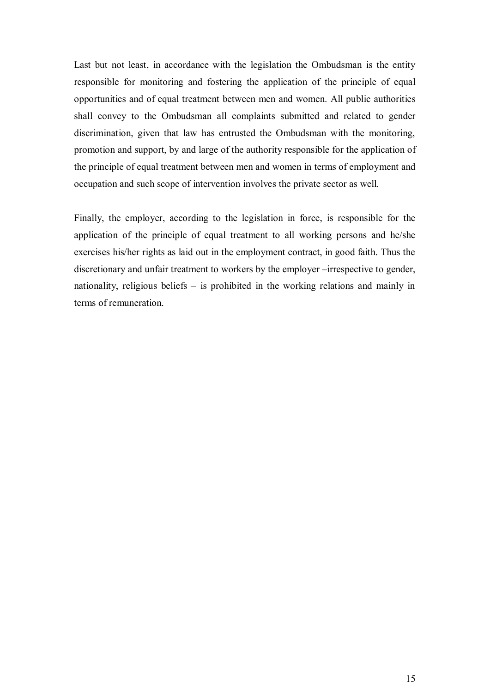Last but not least, in accordance with the legislation the Ombudsman is the entity responsible for monitoring and fostering the application of the principle of equal opportunities and of equal treatment between men and women. All public authorities shall convey to the Ombudsman all complaints submitted and related to gender discrimination, given that law has entrusted the Ombudsman with the monitoring, promotion and support, by and large of the authority responsible for the application of the principle of equal treatment between men and women in terms of employment and occupation and such scope of intervention involves the private sector as well.

Finally, the employer, according to the legislation in force, is responsible for the application of the principle of equal treatment to all working persons and he/she exercises his/her rights as laid out in the employment contract, in good faith. Thus the discretionary and unfair treatment to workers by the employer –irrespective to gender, nationality, religious beliefs – is prohibited in the working relations and mainly in terms of remuneration.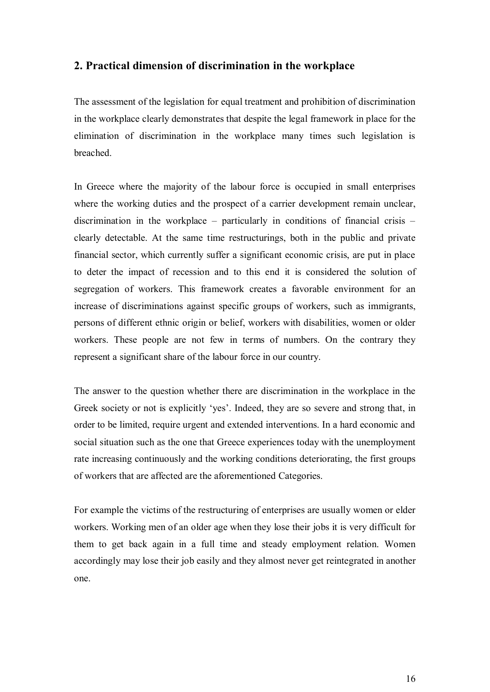### <span id="page-15-0"></span>**2. Practical dimension of discrimination in the workplace**

The assessment of the legislation for equal treatment and prohibition of discrimination in the workplace clearly demonstrates that despite the legal framework in place for the elimination of discrimination in the workplace many times such legislation is breached.

In Greece where the majority of the labour force is occupied in small enterprises where the working duties and the prospect of a carrier development remain unclear, discrimination in the workplace – particularly in conditions of financial crisis – clearly detectable. At the same time restructurings, both in the public and private financial sector, which currently suffer a significant economic crisis, are put in place to deter the impact of recession and to this end it is considered the solution of segregation of workers. This framework creates a favorable environment for an increase of discriminations against specific groups of workers, such as immigrants, persons of different ethnic origin or belief, workers with disabilities, women or older workers. These people are not few in terms of numbers. On the contrary they represent a significant share of the labour force in our country.

The answer to the question whether there are discrimination in the workplace in the Greek society or not is explicitly 'yes'. Indeed, they are so severe and strong that, in order to be limited, require urgent and extended interventions. In a hard economic and social situation such as the one that Greece experiences today with the unemployment rate increasing continuously and the working conditions deteriorating, the first groups of workers that are affected are the aforementioned Categories.

For example the victims of the restructuring of enterprises are usually women or elder workers. Working men of an older age when they lose their jobs it is very difficult for them to get back again in a full time and steady employment relation. Women accordingly may lose their job easily and they almost never get reintegrated in another one.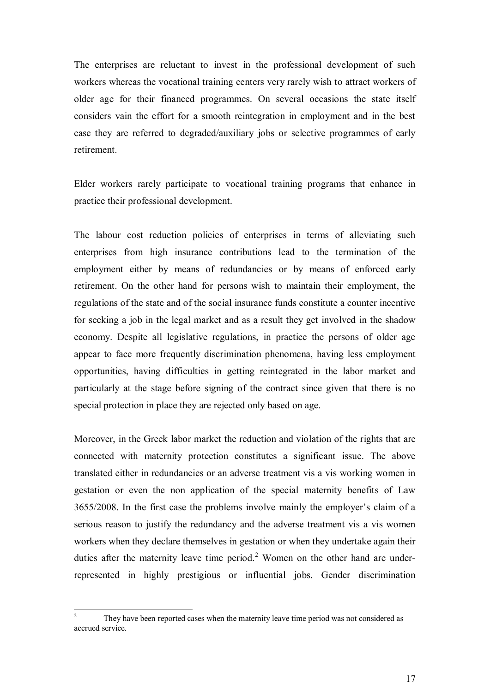The enterprises are reluctant to invest in the professional development of such workers whereas the vocational training centers very rarely wish to attract workers of older age for their financed programmes. On several occasions the state itself considers vain the effort for a smooth reintegration in employment and in the best case they are referred to degraded/auxiliary jobs or selective programmes of early retirement.

Elder workers rarely participate to vocational training programs that enhance in practice their professional development.

The labour cost reduction policies of enterprises in terms of alleviating such enterprises from high insurance contributions lead to the termination of the employment either by means of redundancies or by means of enforced early retirement. On the other hand for persons wish to maintain their employment, the regulations of the state and of the social insurance funds constitute a counter incentive for seeking a job in the legal market and as a result they get involved in the shadow economy. Despite all legislative regulations, in practice the persons of older age appear to face more frequently discrimination phenomena, having less employment opportunities, having difficulties in getting reintegrated in the labor market and particularly at the stage before signing of the contract since given that there is no special protection in place they are rejected only based on age.

Moreover, in the Greek labor market the reduction and violation of the rights that are connected with maternity protection constitutes a significant issue. The above translated either in redundancies or an adverse treatment vis a vis working women in gestation or even the non application of the special maternity benefits of Law 3655/2008. In the first case the problems involve mainly the employer's claim of a serious reason to justify the redundancy and the adverse treatment vis a vis women workers when they declare themselves in gestation or when they undertake again their duties after the maternity leave time period.<sup>2</sup> [W](#page-16-0)omen on the other hand are underrepresented in highly prestigious or influential jobs. Gender discrimination

<span id="page-16-0"></span><sup>&</sup>lt;sup>2</sup> They have been reported cases when the maternity leave time period was not considered as accrued service.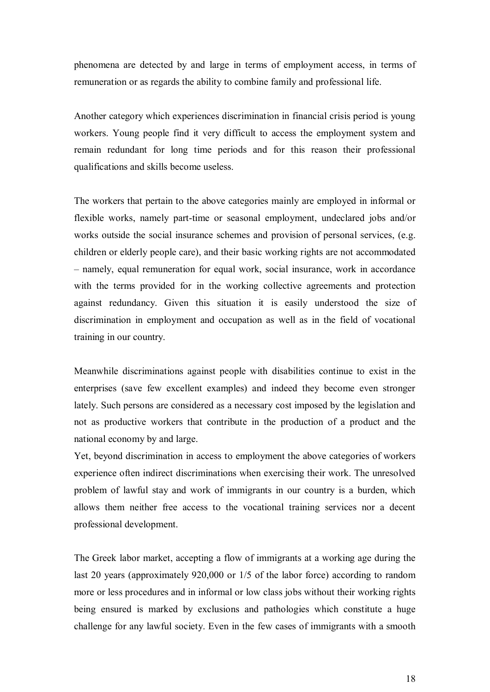phenomena are detected by and large in terms of employment access, in terms of remuneration or as regards the ability to combine family and professional life.

Another category which experiences discrimination in financial crisis period is young workers. Young people find it very difficult to access the employment system and remain redundant for long time periods and for this reason their professional qualifications and skills become useless.

The workers that pertain to the above categories mainly are employed in informal or flexible works, namely part-time or seasonal employment, undeclared jobs and/or works outside the social insurance schemes and provision of personal services, (e.g. children or elderly people care), and their basic working rights are not accommodated – namely, equal remuneration for equal work, social insurance, work in accordance with the terms provided for in the working collective agreements and protection against redundancy. Given this situation it is easily understood the size of discrimination in employment and occupation as well as in the field of vocational training in our country.

Meanwhile discriminations against people with disabilities continue to exist in the enterprises (save few excellent examples) and indeed they become even stronger lately. Such persons are considered as a necessary cost imposed by the legislation and not as productive workers that contribute in the production of a product and the national economy by and large.

Yet, beyond discrimination in access to employment the above categories of workers experience often indirect discriminations when exercising their work. The unresolved problem of lawful stay and work of immigrants in our country is a burden, which allows them neither free access to the vocational training services nor a decent professional development.

The Greek labor market, accepting a flow of immigrants at a working age during the last 20 years (approximately 920,000 or 1/5 of the labor force) according to random more or less procedures and in informal or low class jobs without their working rights being ensured is marked by exclusions and pathologies which constitute a huge challenge for any lawful society. Even in the few cases of immigrants with a smooth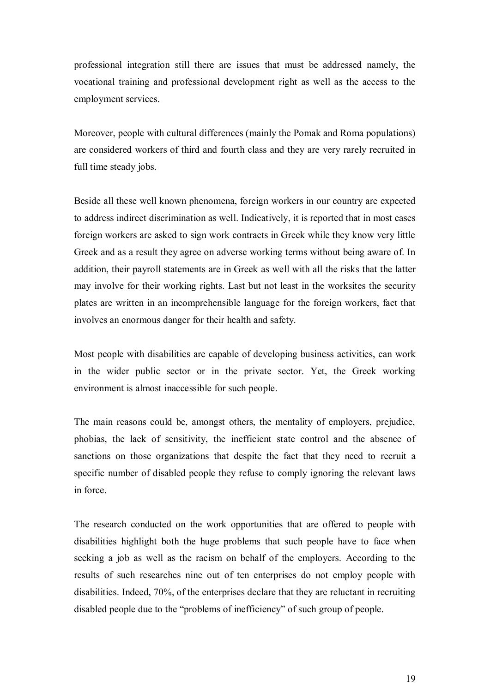professional integration still there are issues that must be addressed namely, the vocational training and professional development right as well as the access to the employment services.

Moreover, people with cultural differences (mainly the Pomak and Roma populations) are considered workers of third and fourth class and they are very rarely recruited in full time steady jobs.

Beside all these well known phenomena, foreign workers in our country are expected to address indirect discrimination as well. Indicatively, it is reported that in most cases foreign workers are asked to sign work contracts in Greek while they know very little Greek and as a result they agree on adverse working terms without being aware of. In addition, their payroll statements are in Greek as well with all the risks that the latter may involve for their working rights. Last but not least in the worksites the security plates are written in an incomprehensible language for the foreign workers, fact that involves an enormous danger for their health and safety.

Most people with disabilities are capable of developing business activities, can work in the wider public sector or in the private sector. Yet, the Greek working environment is almost inaccessible for such people.

The main reasons could be, amongst others, the mentality of employers, prejudice, phobias, the lack of sensitivity, the inefficient state control and the absence of sanctions on those organizations that despite the fact that they need to recruit a specific number of disabled people they refuse to comply ignoring the relevant laws in force.

The research conducted on the work opportunities that are offered to people with disabilities highlight both the huge problems that such people have to face when seeking a job as well as the racism on behalf of the employers. According to the results of such researches nine out of ten enterprises do not employ people with disabilities. Indeed, 70%, of the enterprises declare that they are reluctant in recruiting disabled people due to the "problems of inefficiency" of such group of people.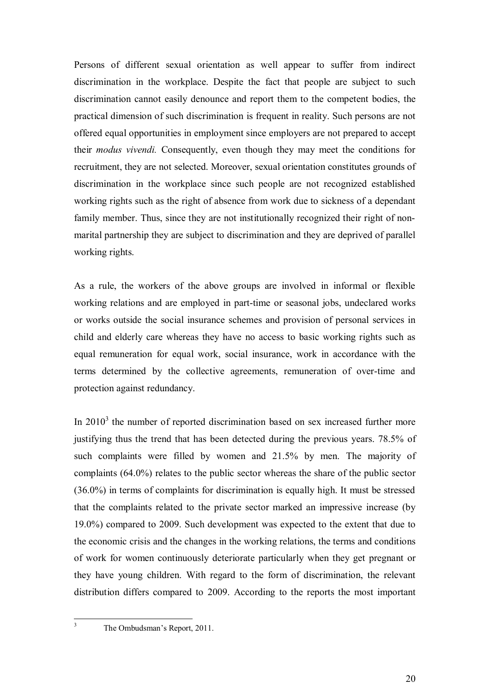Persons of different sexual orientation as well appear to suffer from indirect discrimination in the workplace. Despite the fact that people are subject to such discrimination cannot easily denounce and report them to the competent bodies, the practical dimension of such discrimination is frequent in reality. Such persons are not offered equal opportunities in employment since employers are not prepared to accept their *modus vivendi.* Consequently, even though they may meet the conditions for recruitment, they are not selected. Moreover, sexual orientation constitutes grounds of discrimination in the workplace since such people are not recognized established working rights such as the right of absence from work due to sickness of a dependant family member. Thus, since they are not institutionally recognized their right of nonmarital partnership they are subject to discrimination and they are deprived of parallel working rights.

As a rule, the workers of the above groups are involved in informal or flexible working relations and are employed in part-time or seasonal jobs, undeclared works or works outside the social insurance schemes and provision of personal services in child and elderly care whereas they have no access to basic working rights such as equal remuneration for equal work, social insurance, work in accordance with the terms determined by the collective agreements, remuneration of over-time and protection against redundancy.

In  $2010<sup>3</sup>$  [t](#page-19-0)he number of reported discrimination based on sex increased further more justifying thus the trend that has been detected during the previous years. 78.5% of such complaints were filled by women and 21.5% by men. The majority of complaints (64.0%) relates to the public sector whereas the share of the public sector (36.0%) in terms of complaints for discrimination is equally high. It must be stressed that the complaints related to the private sector marked an impressive increase (by 19.0%) compared to 2009. Such development was expected to the extent that due to the economic crisis and the changes in the working relations, the terms and conditions of work for women continuously deteriorate particularly when they get pregnant or they have young children. With regard to the form of discrimination, the relevant distribution differs compared to 2009. According to the reports the most important

<span id="page-19-0"></span><sup>&</sup>lt;sup>3</sup> The Ombudsman's Report, 2011.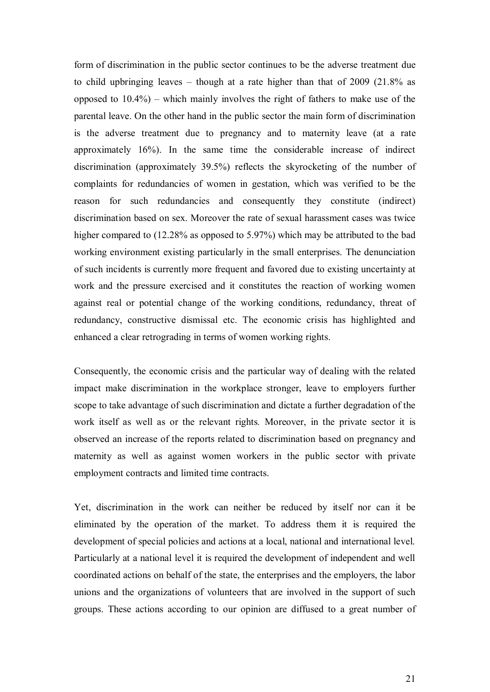form of discrimination in the public sector continues to be the adverse treatment due to child upbringing leaves – though at a rate higher than that of 2009 (21.8% as opposed to 10.4%) – which mainly involves the right of fathers to make use of the parental leave. On the other hand in the public sector the main form of discrimination is the adverse treatment due to pregnancy and to maternity leave (at a rate approximately 16%). In the same time the considerable increase of indirect discrimination (approximately 39.5%) reflects the skyrocketing of the number of complaints for redundancies of women in gestation, which was verified to be the reason for such redundancies and consequently they constitute (indirect) discrimination based on sex. Moreover the rate of sexual harassment cases was twice higher compared to  $(12.28\%$  as opposed to 5.97%) which may be attributed to the bad working environment existing particularly in the small enterprises. The denunciation of such incidents is currently more frequent and favored due to existing uncertainty at work and the pressure exercised and it constitutes the reaction of working women against real or potential change of the working conditions, redundancy, threat of redundancy, constructive dismissal etc. The economic crisis has highlighted and enhanced a clear retrograding in terms of women working rights.

Consequently, the economic crisis and the particular way of dealing with the related impact make discrimination in the workplace stronger, leave to employers further scope to take advantage of such discrimination and dictate a further degradation of the work itself as well as or the relevant rights*.* Moreover, in the private sector it is observed an increase of the reports related to discrimination based on pregnancy and maternity as well as against women workers in the public sector with private employment contracts and limited time contracts.

Yet, discrimination in the work can neither be reduced by itself nor can it be eliminated by the operation of the market. To address them it is required the development of special policies and actions at a local, national and international level. Particularly at a national level it is required the development of independent and well coordinated actions on behalf of the state, the enterprises and the employers, the labor unions and the organizations of volunteers that are involved in the support of such groups. These actions according to our opinion are diffused to a great number of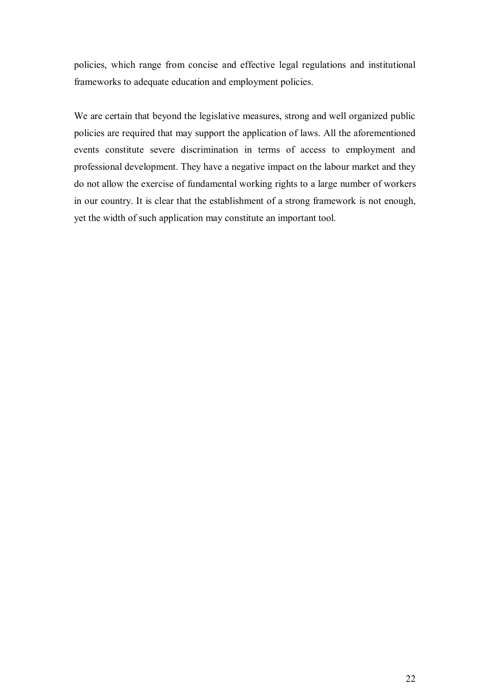policies, which range from concise and effective legal regulations and institutional frameworks to adequate education and employment policies.

We are certain that beyond the legislative measures, strong and well organized public policies are required that may support the application of laws. All the aforementioned events constitute severe discrimination in terms of access to employment and professional development. They have a negative impact on the labour market and they do not allow the exercise of fundamental working rights to a large number of workers in our country. It is clear that the establishment of a strong framework is not enough, yet the width of such application may constitute an important tool.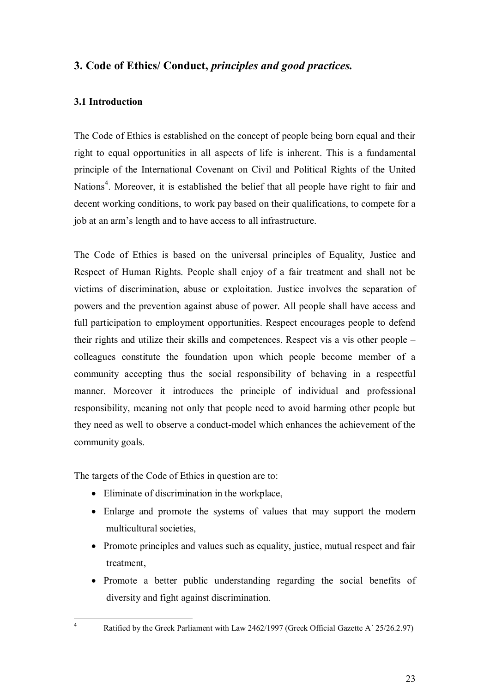### <span id="page-22-0"></span>**3. Code of Ethics/ Conduct,** *principles and good practices.*

### <span id="page-22-1"></span>**3.1 Introduction**

The Code of Ethics is established on the concept of people being born equal and their right to equal opportunities in all aspects of life is inherent. This is a fundamental principle of the International Covenant on Civil and Political Rights of the United Nations<sup>4</sup>[.](#page-22-2) Moreover, it is established the belief that all people have right to fair and decent working conditions, to work pay based on their qualifications, to compete for a job at an arm's length and to have access to all infrastructure.

The Code of Ethics is based on the universal principles of Equality, Justice and Respect of Human Rights. People shall enjoy of a fair treatment and shall not be victims of discrimination, abuse or exploitation. Justice involves the separation of powers and the prevention against abuse of power. All people shall have access and full participation to employment opportunities. Respect encourages people to defend their rights and utilize their skills and competences. Respect vis a vis other people – colleagues constitute the foundation upon which people become member of a community accepting thus the social responsibility of behaving in a respectful manner. Moreover it introduces the principle of individual and professional responsibility, meaning not only that people need to avoid harming other people but they need as well to observe a conduct-model which enhances the achievement of the community goals.

The targets of the Code of Ethics in question are to:

- Eliminate of discrimination in the workplace,
- · Enlarge and promote the systems of values that may support the modern multicultural societies,
- Promote principles and values such as equality, justice, mutual respect and fair treatment,
- · Promote a better public understanding regarding the social benefits of diversity and fight against discrimination.
- <span id="page-22-2"></span><sup>4</sup> Ratified by the Greek Parliament with Law 2462/1997 (Greek Official Gazette A' 25/26.2.97)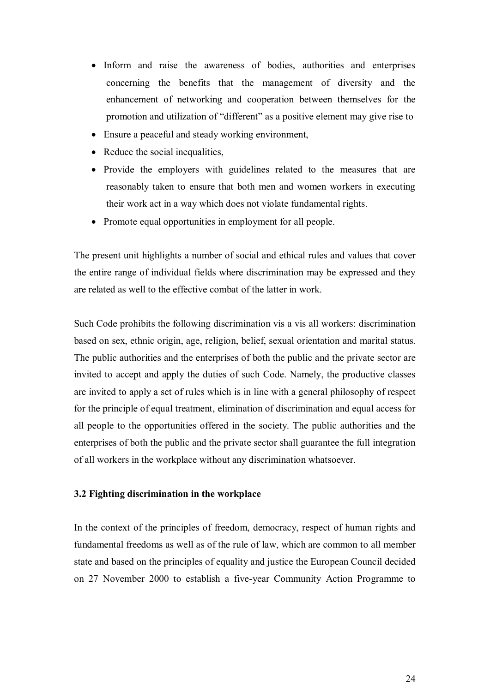- Inform and raise the awareness of bodies, authorities and enterprises concerning the benefits that the management of diversity and the enhancement of networking and cooperation between themselves for the promotion and utilization of "different" as a positive element may give rise to
- Ensure a peaceful and steady working environment,
- Reduce the social inequalities,
- Provide the employers with guidelines related to the measures that are reasonably taken to ensure that both men and women workers in executing their work act in a way which does not violate fundamental rights.
- Promote equal opportunities in employment for all people.

The present unit highlights a number of social and ethical rules and values that cover the entire range of individual fields where discrimination may be expressed and they are related as well to the effective combat of the latter in work.

Such Code prohibits the following discrimination vis a vis all workers: discrimination based on sex, ethnic origin, age, religion, belief, sexual orientation and marital status. The public authorities and the enterprises of both the public and the private sector are invited to accept and apply the duties of such Code. Namely, the productive classes are invited to apply a set of rules which is in line with a general philosophy of respect for the principle of equal treatment, elimination of discrimination and equal access for all people to the opportunities offered in the society. The public authorities and the enterprises of both the public and the private sector shall guarantee the full integration of all workers in the workplace without any discrimination whatsoever.

#### <span id="page-23-0"></span>**3.2 Fighting discrimination in the workplace**

In the context of the principles of freedom, democracy, respect of human rights and fundamental freedoms as well as of the rule of law, which are common to all member state and based on the principles of equality and justice the European Council decided on 27 November 2000 to establish a five-year Community Action Programme to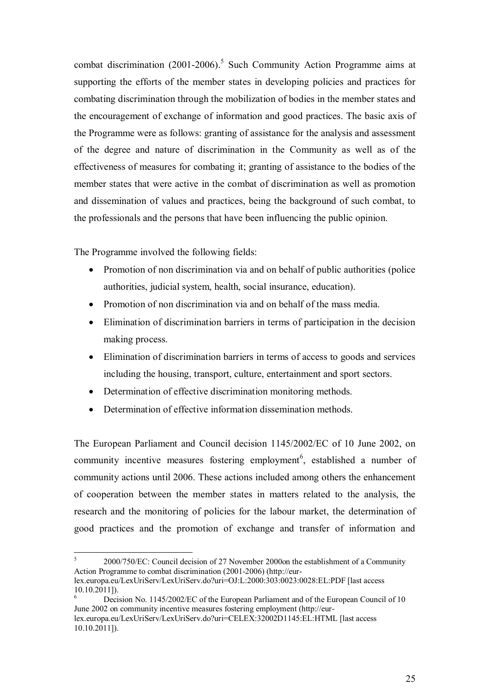combatdiscrimination  $(2001-2006)$ <sup>5</sup> Such Community Action Programme aims at supporting the efforts of the member states in developing policies and practices for combating discrimination through the mobilization of bodies in the member states and the encouragement of exchange of information and good practices. The basic axis of the Programme were as follows: granting of assistance for the analysis and assessment of the degree and nature of discrimination in the Community as well as of the effectiveness of measures for combating it; granting of assistance to the bodies of the member states that were active in the combat of discrimination as well as promotion and dissemination of values and practices, being the background of such combat, to the professionals and the persons that have been influencing the public opinion.

The Programme involved the following fields:

- Promotion of non discrimination via and on behalf of public authorities (police authorities, judicial system, health, social insurance, education).
- Promotion of non discrimination via and on behalf of the mass media.
- · Elimination of discrimination barriers in terms of participation in the decision making process.
- · Elimination of discrimination barriers in terms of access to goods and services including the housing, transport, culture, entertainment and sport sectors.
- Determination of effective discrimination monitoring methods.
- Determination of effective information dissemination methods.

The European Parliament and Council decision 1145/2002/EC of 10 June 2002, on community incentive measures fostering employment<sup>6</sup>[,](#page-24-1) established a number of community actions until 2006. These actions included among others the enhancement of cooperation between the member states in matters related to the analysis, the research and the monitoring of policies for the labour market, the determination of good practices and the promotion of exchange and transfer of information and

<span id="page-24-0"></span><sup>5</sup> 2000/750/EC: Council decision of 27 November 2000on the establishment of a Community Action Programme to combat discrimination (2001-2006) (http://eurlex.europa.eu/LexUriServ/LexUriServ.do?uri=OJ:L:2000:303:0023:0028:EL:PDF [last access

<span id="page-24-1"></span> $10.10.2011$ ]). Decision No. 1145/2002/EC of the European Parliament and of the European Council of 10 June 2002 on community incentive measures fostering employment (http://eur-

lex.europa.eu/LexUriServ/LexUriServ.do?uri=CELEX:32002D1145:EL:HTML [last access 10.10.2011]).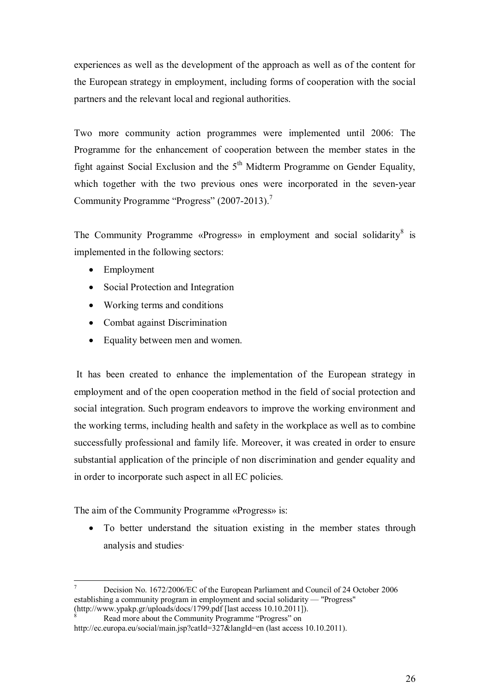experiences as well as the development of the approach as well as of the content for the European strategy in employment, including forms of cooperation with the social partners and the relevant local and regional authorities.

Two more community action programmes were implemented until 2006: The Programme for the enhancement of cooperation between the member states in the fight against Social Exclusion and the  $5<sup>th</sup>$  Midterm Programme on Gender Equality, which together with the two previous ones were incorporated in the seven-year Community Programme "Progress" (200[7](#page-25-0)-2013).<sup>7</sup>

TheCommunity Programme «Progress» in employment and social solidarity<sup>8</sup> is implemented in the following sectors:

- Employment
- Social Protection and Integration
- Working terms and conditions
- Combat against Discrimination
- Equality between men and women.

 It has been created to enhance the implementation of the European strategy in employment and of the open cooperation method in the field of social protection and social integration. Such program endeavors to improve the working environment and the working terms, including health and safety in the workplace as well as to combine successfully professional and family life. Moreover, it was created in order to ensure substantial application of the principle of non discrimination and gender equality and in order to incorporate such aspect in all EC policies.

The aim of the Community Programme «Progress» is:

• To better understand the situation existing in the member states through analysis and studies·

<span id="page-25-0"></span><sup>7</sup> Decision No. 1672/2006/EC of the European Parliament and Council of 24 October 2006 establishing a community program in employment and social solidarity — "Progress" (http://www.ypakp.gr/uploads/docs/1799.pdf [last access 10.10.2011]).

<span id="page-25-1"></span>Read more about the Community Programme "Progress" on

http://ec.europa.eu/social/main.jsp?catId=327&langId=en (last access 10.10.2011).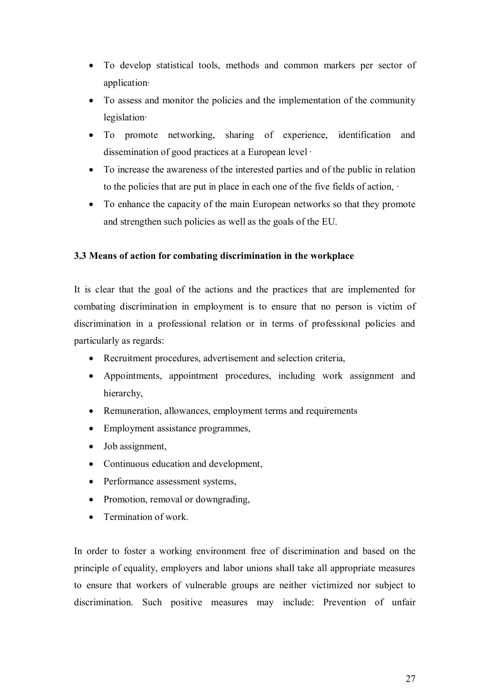- · To develop statistical tools, methods and common markers per sector of application·
- · To assess and monitor the policies and the implementation of the community legislation·
- · To promote networking, sharing of experience, identification and dissemination of good practices at a European level ·
- · To increase the awareness of the interested parties and of the public in relation to the policies that are put in place in each one of the five fields of action, ·
- · To enhance the capacity of the main European networks so that they promote and strengthen such policies as well as the goals of the EU.

### <span id="page-26-0"></span>**3.3 Means of action for combating discrimination in the workplace**

It is clear that the goal of the actions and the practices that are implemented for combating discrimination in employment is to ensure that no person is victim of discrimination in a professional relation or in terms of professional policies and particularly as regards:

- · Recruitment procedures, advertisement and selection criteria,
- Appointments, appointment procedures, including work assignment and hierarchy,
- Remuneration, allowances, employment terms and requirements
- Employment assistance programmes,
- Job assignment,
- · Continuous education and development,
- Performance assessment systems,
- Promotion, removal or downgrading.
- Termination of work.

In order to foster a working environment free of discrimination and based on the principle of equality, employers and labor unions shall take all appropriate measures to ensure that workers of vulnerable groups are neither victimized nor subject to discrimination. Such positive measures may include: Prevention of unfair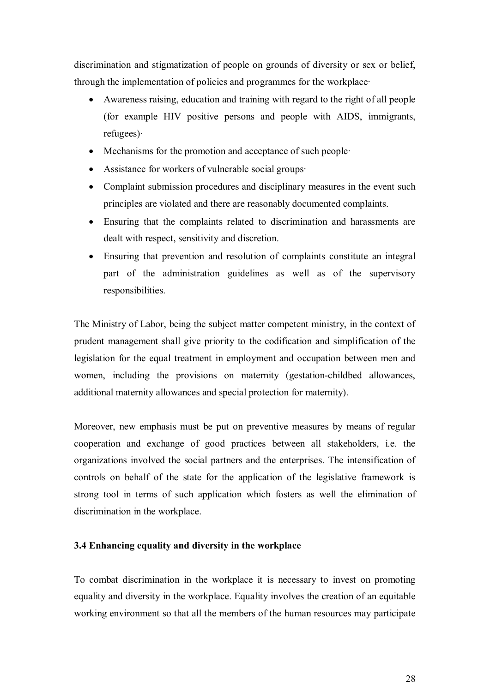discrimination and stigmatization of people on grounds of diversity or sex or belief, through the implementation of policies and programmes for the workplace·

- · Awareness raising, education and training with regard to the right of all people (for example HIV positive persons and people with AIDS, immigrants, refugees)·
- Mechanisms for the promotion and acceptance of such people
- · Assistance for workers of vulnerable social groups·
- Complaint submission procedures and disciplinary measures in the event such principles are violated and there are reasonably documented complaints.
- · Ensuring that the complaints related to discrimination and harassments are dealt with respect, sensitivity and discretion.
- · Ensuring that prevention and resolution of complaints constitute an integral part of the administration guidelines as well as of the supervisory responsibilities.

The Ministry of Labor, being the subject matter competent ministry, in the context of prudent management shall give priority to the codification and simplification of the legislation for the equal treatment in employment and occupation between men and women, including the provisions on maternity (gestation-childbed allowances, additional maternity allowances and special protection for maternity).

Moreover, new emphasis must be put on preventive measures by means of regular cooperation and exchange of good practices between all stakeholders, i.e. the organizations involved the social partners and the enterprises. The intensification of controls on behalf of the state for the application of the legislative framework is strong tool in terms of such application which fosters as well the elimination of discrimination in the workplace.

### <span id="page-27-0"></span>**3.4 Enhancing equality and diversity in the workplace**

To combat discrimination in the workplace it is necessary to invest on promoting equality and diversity in the workplace. Equality involves the creation of an equitable working environment so that all the members of the human resources may participate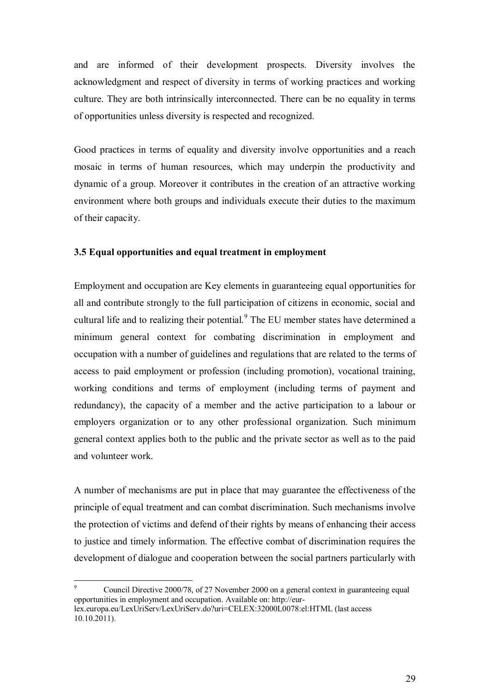and are informed of their development prospects. Diversity involves the acknowledgment and respect of diversity in terms of working practices and working culture. They are both intrinsically interconnected. There can be no equality in terms of opportunities unless diversity is respected and recognized.

Good practices in terms of equality and diversity involve opportunities and a reach mosaic in terms of human resources, which may underpin the productivity and dynamic of a group. Moreover it contributes in the creation of an attractive working environment where both groups and individuals execute their duties to the maximum of their capacity.

#### <span id="page-28-0"></span>**3.5 Equal opportunities and equal treatment in employment**

Employment and occupation are Key elements in guaranteeing equal opportunities for all and contribute strongly to the full participation of citizens in economic, social and cultural life and to realizing their potential.<sup>9</sup> [T](#page-28-1)he EU member states have determined a minimum general context for combating discrimination in employment and occupation with a number of guidelines and regulations that are related to the terms of access to paid employment or profession (including promotion), vocational training, working conditions and terms of employment (including terms of payment and redundancy), the capacity of a member and the active participation to a labour or employers organization or to any other professional organization. Such minimum general context applies both to the public and the private sector as well as to the paid and volunteer work.

A number of mechanisms are put in place that may guarantee the effectiveness of the principle of equal treatment and can combat discrimination. Such mechanisms involve the protection of victims and defend of their rights by means of enhancing their access to justice and timely information. The effective combat of discrimination requires the development of dialogue and cooperation between the social partners particularly with

<span id="page-28-1"></span><sup>9</sup> Council Directive 2000/78, of 27 November 2000 on a general context in guaranteeing equal opportunities in employment and occupation. Available on: http://eurlex.europa.eu/LexUriServ/LexUriServ.do?uri=CELEX:32000L0078:el:HTML (last access 10.10.2011).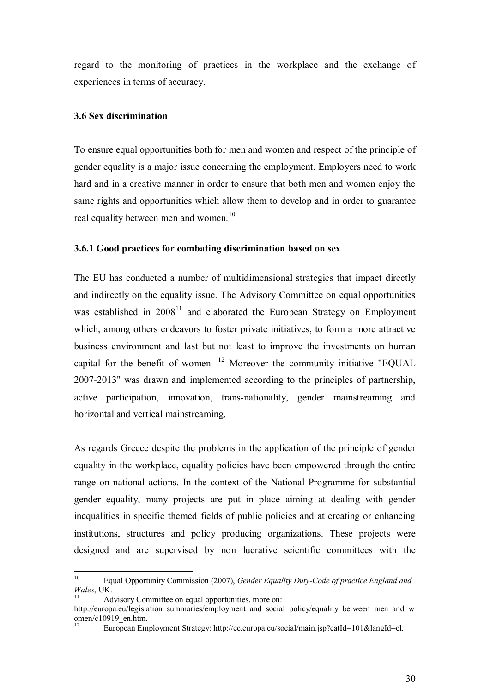regard to the monitoring of practices in the workplace and the exchange of experiences in terms of accuracy.

### <span id="page-29-0"></span>**3.6 Sex discrimination**

To ensure equal opportunities both for men and women and respect of the principle of gender equality is a major issue concerning the employment. Employers need to work hard and in a creative manner in order to ensure that both men and women enjoy the same rights and opportunities which allow them to develop and in order to guarantee real equality between men and women.<sup>[10](#page-29-2)</sup>

### <span id="page-29-1"></span>**3.6.1 Good practices for combating discrimination based on sex**

The EU has conducted a number of multidimensional strategies that impact directly and indirectly on the equality issue. The Advisory Committee on equal opportunities was established in  $2008<sup>11</sup>$  $2008<sup>11</sup>$  $2008<sup>11</sup>$  and elaborated the European Strategy on Employment which, among others endeavors to foster private initiatives, to form a more attractive business environment and last but not least to improve the investments on human capital for the benefit of women.  $12$  Moreover the community initiative "EQUAL 2007-2013" was drawn and implemented according to the principles of partnership, active participation, innovation, trans-nationality, gender mainstreaming and horizontal and vertical mainstreaming.

As regards Greece despite the problems in the application of the principle of gender equality in the workplace, equality policies have been empowered through the entire range on national actions. In the context of the National Programme for substantial gender equality, many projects are put in place aiming at dealing with gender inequalities in specific themed fields of public policies and at creating or enhancing institutions, structures and policy producing organizations. These projects were designed and are supervised by non lucrative scientific committees with the

<span id="page-29-2"></span><sup>10</sup> Equal Opportunity Commission (2007), *Gender Equality Duty-Code of practice England and Wales*, UK.

<span id="page-29-3"></span>Advisory Committee on equal opportunities, more on:

http://europa.eu/legislation\_summaries/employment\_and\_social\_policy/equality\_between\_men\_and\_w omen/c $10919$ \_en.htm.

<span id="page-29-4"></span><sup>12</sup> European Employment Strategy: http://ec.europa.eu/social/main.jsp?catId=101&langId=el.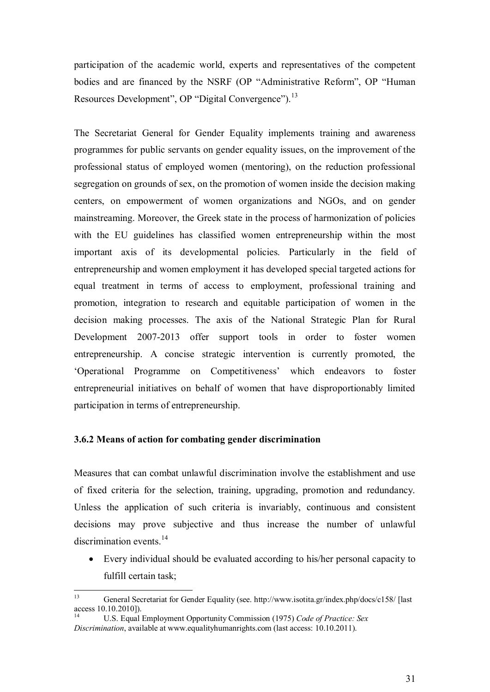participation of the academic world, experts and representatives of the competent bodies and are financed by the NSRF (OP "Administrative Reform", OP "Human Resources Development", OP "Digital Convergence").<sup>[13](#page-30-1)</sup>

The Secretariat General for Gender Equality implements training and awareness programmes for public servants on gender equality issues, on the improvement of the professional status of employed women (mentoring), on the reduction professional segregation on grounds of sex, on the promotion of women inside the decision making centers, on empowerment of women organizations and NGOs, and on gender mainstreaming. Moreover, the Greek state in the process of harmonization of policies with the EU guidelines has classified women entrepreneurship within the most important axis of its developmental policies. Particularly in the field of entrepreneurship and women employment it has developed special targeted actions for equal treatment in terms of access to employment, professional training and promotion, integration to research and equitable participation of women in the decision making processes. The axis of the National Strategic Plan for Rural Development 2007-2013 offer support tools in order to foster women entrepreneurship. A concise strategic intervention is currently promoted, the 'Operational Programme on Competitiveness' which endeavors to foster entrepreneurial initiatives on behalf of women that have disproportionably limited participation in terms of entrepreneurship.

### <span id="page-30-0"></span>**3.6.2 Means of action for combating gender discrimination**

Measures that can combat unlawful discrimination involve the establishment and use of fixed criteria for the selection, training, upgrading, promotion and redundancy. Unless the application of such criteria is invariably, continuous and consistent decisions may prove subjective and thus increase the number of unlawful discrimination events.<sup>[14](#page-30-2)</sup>

Every individual should be evaluated according to his/her personal capacity to fulfill certain task;

<span id="page-30-1"></span><sup>13</sup> General Secretariat for Gender Equality (see. http://www.isotita.gr/index.php/docs/c158/ [last  $\frac{24}{14}$  access 10.10.2010]).

<span id="page-30-2"></span><sup>14</sup> U.S. Equal Employment Opportunity Commission (1975) *Code of Practice: Sex Discrimination*, available at www.equalityhumanrights.com (last access: 10.10.2011).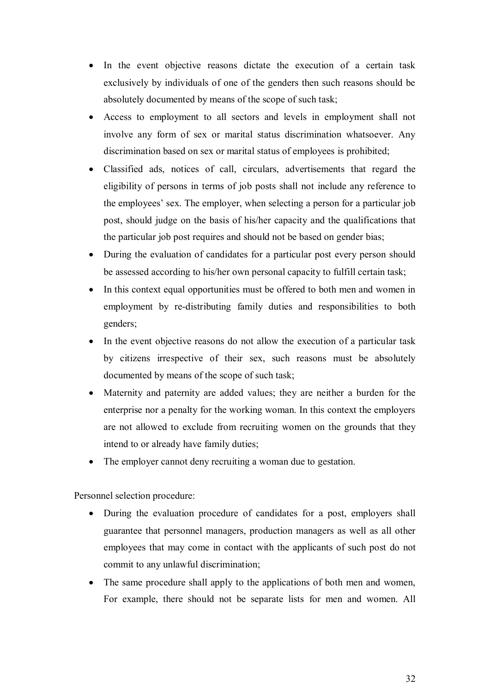- In the event objective reasons dictate the execution of a certain task exclusively by individuals of one of the genders then such reasons should be absolutely documented by means of the scope of such task;
- Access to employment to all sectors and levels in employment shall not involve any form of sex or marital status discrimination whatsoever. Any discrimination based on sex or marital status of employees is prohibited;
- · Classified ads, notices of call, circulars, advertisements that regard the eligibility of persons in terms of job posts shall not include any reference to the employees' sex. The employer, when selecting a person for a particular job post, should judge on the basis of his/her capacity and the qualifications that the particular job post requires and should not be based on gender bias;
- During the evaluation of candidates for a particular post every person should be assessed according to his/her own personal capacity to fulfill certain task;
- In this context equal opportunities must be offered to both men and women in employment by re-distributing family duties and responsibilities to both genders;
- In the event objective reasons do not allow the execution of a particular task by citizens irrespective of their sex, such reasons must be absolutely documented by means of the scope of such task;
- · Maternity and paternity are added values; they are neither a burden for the enterprise nor a penalty for the working woman. In this context the employers are not allowed to exclude from recruiting women on the grounds that they intend to or already have family duties;
- The employer cannot deny recruiting a woman due to gestation.

Personnel selection procedure:

- During the evaluation procedure of candidates for a post, employers shall guarantee that personnel managers, production managers as well as all other employees that may come in contact with the applicants of such post do not commit to any unlawful discrimination;
- The same procedure shall apply to the applications of both men and women, For example, there should not be separate lists for men and women. All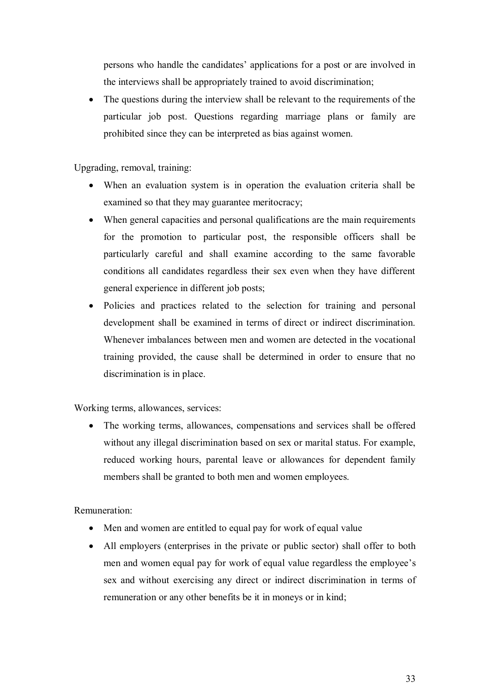persons who handle the candidates' applications for a post or are involved in the interviews shall be appropriately trained to avoid discrimination;

The questions during the interview shall be relevant to the requirements of the particular job post. Questions regarding marriage plans or family are prohibited since they can be interpreted as bias against women.

Upgrading, removal, training:

- · When an evaluation system is in operation the evaluation criteria shall be examined so that they may guarantee meritocracy;
- When general capacities and personal qualifications are the main requirements for the promotion to particular post, the responsible officers shall be particularly careful and shall examine according to the same favorable conditions all candidates regardless their sex even when they have different general experience in different job posts;
- Policies and practices related to the selection for training and personal development shall be examined in terms of direct or indirect discrimination. Whenever imbalances between men and women are detected in the vocational training provided, the cause shall be determined in order to ensure that no discrimination is in place.

Working terms, allowances, services:

• The working terms, allowances, compensations and services shall be offered without any illegal discrimination based on sex or marital status. For example, reduced working hours, parental leave or allowances for dependent family members shall be granted to both men and women employees.

Remuneration:

- Men and women are entitled to equal pay for work of equal value
- All employers (enterprises in the private or public sector) shall offer to both men and women equal pay for work of equal value regardless the employee's sex and without exercising any direct or indirect discrimination in terms of remuneration or any other benefits be it in moneys or in kind;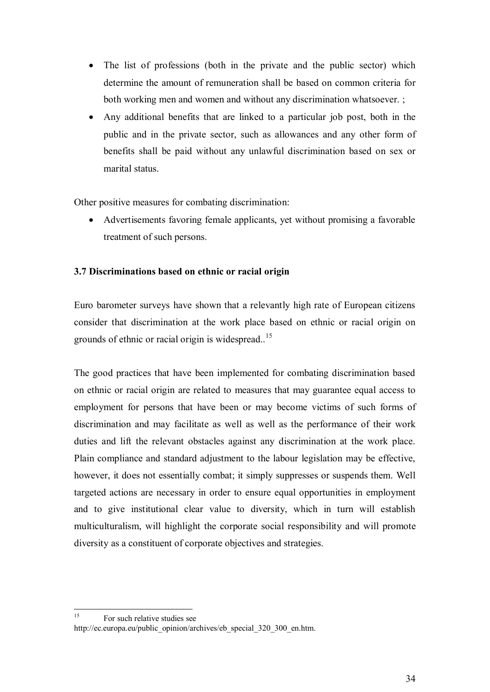- The list of professions (both in the private and the public sector) which determine the amount of remuneration shall be based on common criteria for both working men and women and without any discrimination whatsoever. ;
- · Any additional benefits that are linked to a particular job post, both in the public and in the private sector, such as allowances and any other form of benefits shall be paid without any unlawful discrimination based on sex or marital status.

Other positive measures for combating discrimination:

• Advertisements favoring female applicants, yet without promising a favorable treatment of such persons.

### <span id="page-33-0"></span>**3.7 Discriminations based on ethnic or racial origin**

Euro barometer surveys have shown that a relevantly high rate of European citizens consider that discrimination at the work place based on ethnic or racial origin on grounds of ethnic or racial origin is widespread.<sup>[15](#page-33-1)</sup>

The good practices that have been implemented for combating discrimination based on ethnic or racial origin are related to measures that may guarantee equal access to employment for persons that have been or may become victims of such forms of discrimination and may facilitate as well as well as the performance of their work duties and lift the relevant obstacles against any discrimination at the work place. Plain compliance and standard adjustment to the labour legislation may be effective, however, it does not essentially combat; it simply suppresses or suspends them. Well targeted actions are necessary in order to ensure equal opportunities in employment and to give institutional clear value to diversity, which in turn will establish multiculturalism, will highlight the corporate social responsibility and will promote diversity as a constituent of corporate objectives and strategies.

<span id="page-33-1"></span><sup>&</sup>lt;sup>15</sup> For such relative studies see http://ec.europa.eu/public\_opinion/archives/eb\_special\_320\_300\_en.htm.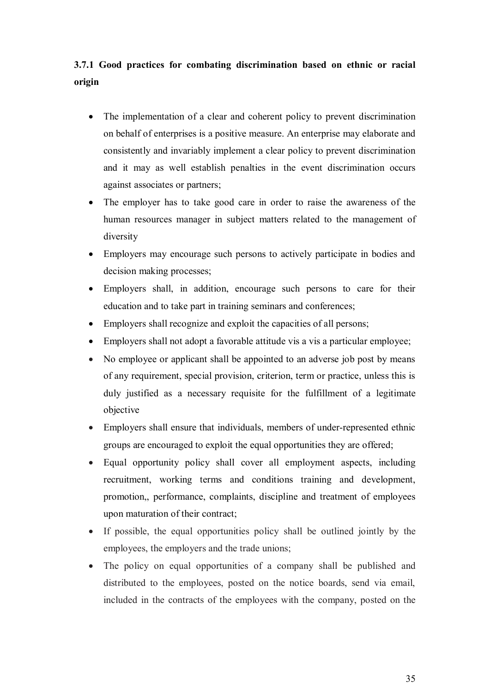# <span id="page-34-0"></span>**3.7.1 Good practices for combating discrimination based on ethnic or racial origin**

- The implementation of a clear and coherent policy to prevent discrimination on behalf of enterprises is a positive measure. An enterprise may elaborate and consistently and invariably implement a clear policy to prevent discrimination and it may as well establish penalties in the event discrimination occurs against associates or partners;
- The employer has to take good care in order to raise the awareness of the human resources manager in subject matters related to the management of diversity
- · Employers may encourage such persons to actively participate in bodies and decision making processes;
- Employers shall, in addition, encourage such persons to care for their education and to take part in training seminars and conferences;
- Employers shall recognize and exploit the capacities of all persons;
- · Employers shall not adopt a favorable attitude vis a vis a particular employee;
- No employee or applicant shall be appointed to an adverse job post by means of any requirement, special provision, criterion, term or practice, unless this is duly justified as a necessary requisite for the fulfillment of a legitimate objective
- · Employers shall ensure that individuals, members of under-represented ethnic groups are encouraged to exploit the equal opportunities they are offered;
- Equal opportunity policy shall cover all employment aspects, including recruitment, working terms and conditions training and development, promotion,, performance, complaints, discipline and treatment of employees upon maturation of their contract;
- · If possible, the equal opportunities policy shall be outlined jointly by the employees, the employers and the trade unions;
- · The policy on equal opportunities of a company shall be published and distributed to the employees, posted on the notice boards, send via email, included in the contracts of the employees with the company, posted on the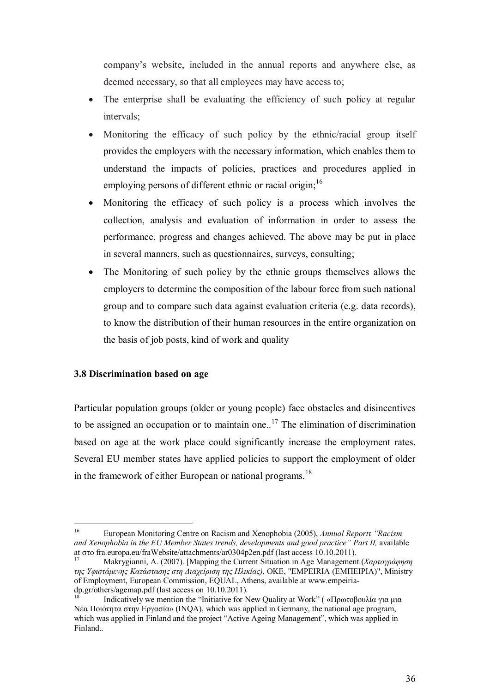company's website, included in the annual reports and anywhere else, as deemed necessary, so that all employees may have access to;

- The enterprise shall be evaluating the efficiency of such policy at regular intervals;
- Monitoring the efficacy of such policy by the ethnic/racial group itself provides the employers with the necessary information, which enables them to understand the impacts of policies, practices and procedures applied in employing persons of different ethnic or racial origin;<sup>[16](#page-35-1)</sup>
- · Monitoring the efficacy of such policy is a process which involves the collection, analysis and evaluation of information in order to assess the performance, progress and changes achieved. The above may be put in place in several manners, such as questionnaires, surveys, consulting;
- The Monitoring of such policy by the ethnic groups themselves allows the employers to determine the composition of the labour force from such national group and to compare such data against evaluation criteria (e.g. data records), to know the distribution of their human resources in the entire organization on the basis of job posts, kind of work and quality

### <span id="page-35-0"></span>**3.8 Discrimination based on age**

Particular population groups (older or young people) face obstacles and disincentives to be assigned an occupation or to maintain one.<sup>[17](#page-35-2)</sup> The elimination of discrimination based on age at the work place could significantly increase the employment rates. Several EU member states have applied policies to support the employment of older in the framework of either European or national programs.<sup>[18](#page-35-3)</sup>

<span id="page-35-1"></span><sup>16</sup> European Monitoring Centre on Racism and Xenophobia (2005), *Annual Reportτ "Racism and Xenophobia in the EU Member States trends, developments and good practice" Part II,* available at στο fra.europa.eu/fraWebsite/attachments/ar0304p2en.pdf (last access 10.10.2011).

<span id="page-35-2"></span><sup>17</sup> Makrygianni, A. (2007). [Mapping the Current Situation in Age Management (*Χαρτογράφηση της Υφιστάμενης Κατάστασης στη Διαχείριση της Ηλικίας)*, ΟȀǼ, "EMPEIRIA (ǼΜΠǼǿΡǿΑ)", Ministry of Employment, European Commission, EQUAL, Athens, available at www.empeiriadp.gr/others/agemap.pdf (last access on 10.10.2011).

<span id="page-35-3"></span>Indicatively we mention the "Initiative for New Quality at Work" ( «Πρωτοβουλία για μια Νέα Ποιότητα στην Ǽργασία» (INQA), which was applied in Germany, the national age program, which was applied in Finland and the project "Active Ageing Management", which was applied in Finland..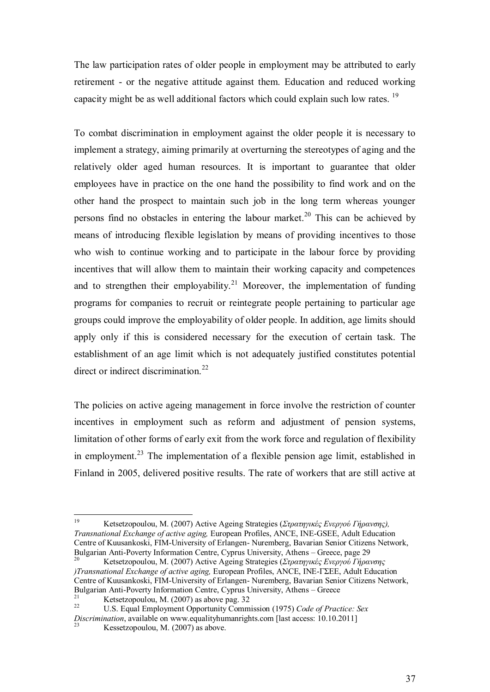The law participation rates of older people in employment may be attributed to early retirement - or the negative attitude against them. Education and reduced working capacity might be as well additional factors which could explain such low rates. [19](#page-36-0)

To combat discrimination in employment against the older people it is necessary to implement a strategy, aiming primarily at overturning the stereotypes of aging and the relatively older aged human resources. It is important to guarantee that older employees have in practice on the one hand the possibility to find work and on the other hand the prospect to maintain such job in the long term whereas younger persons find no obstacles in entering the labour market.<sup>[20](#page-36-1)</sup> This can be achieved by means of introducing flexible legislation by means of providing incentives to those who wish to continue working and to participate in the labour force by providing incentives that will allow them to maintain their working capacity and competences and to strengthen their employability.<sup>[21](#page-36-2)</sup> Moreover, the implementation of funding programs for companies to recruit or reintegrate people pertaining to particular age groups could improve the employability of older people. In addition, age limits should apply only if this is considered necessary for the execution of certain task. The establishment of an age limit which is not adequately justified constitutes potential direct or indirect discrimination.<sup>[22](#page-36-3)</sup>

The policies on active ageing management in force involve the restriction of counter incentives in employment such as reform and adjustment of pension systems, limitation of other forms of early exit from the work force and regulation of flexibility in employment.<sup>[23](#page-36-4)</sup> The implementation of a flexible pension age limit, established in Finland in 2005, delivered positive results. The rate of workers that are still active at

<span id="page-36-0"></span><sup>19</sup> Ketsetzopoulou, M. (2007) Active Ageing Strategies (*Στρατηγικές Ενεργού Γήρανσης), Transnational Exchange of active aging,* European Profiles, ANCE, INE-GSǼǼ, Adult Education Centre of Kuusankoski, FIM-University of Erlangen- Nuremberg, Bavarian Senior Citizens Network, Bulgarian Anti-Poverty Information Centre, Cyprus University, Athens – Greece, page 29

<span id="page-36-1"></span><sup>20</sup> Ketsetzopoulou, M. (2007) Active Ageing Strategies (*Στρατηγικές Ενεργού Γήρανσης )Transnational Exchange of active aging, European Profiles, ANCE, INE-ΓΣΕΕ, Adult Education* Centre of Kuusankoski, FIM-University of Erlangen- Nuremberg, Bavarian Senior Citizens Network, Bulgarian Anti-Poverty Information Centre, Cyprus University, Athens – Greece

<span id="page-36-2"></span><sup>&</sup>lt;sup>21</sup><br>Ketsetzopoulou, M. (2007) as above pag. 32<br> $^{22}$ <br>K. Equal Employment Opportunity Comm

<span id="page-36-4"></span><span id="page-36-3"></span><sup>22</sup> U.S. Equal Employment Opportunity Commission (1975) *Code of Practice: Sex Discrimination*, available on www.equalityhumanrights.com [last access: 10.10.2011] Kessetzopoulou, M. (2007) as above.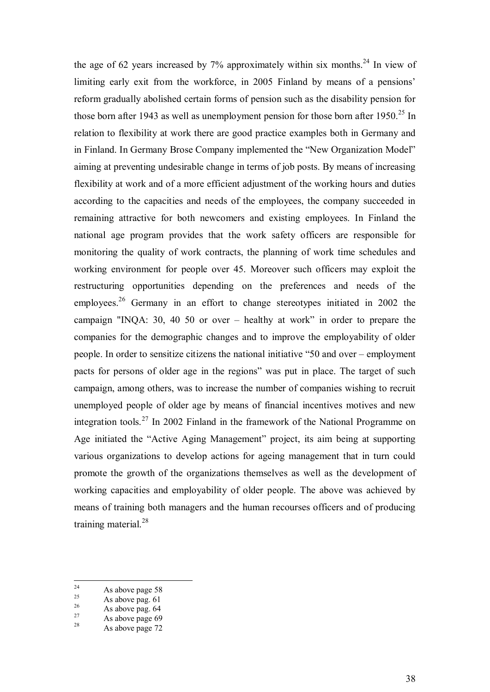the age of 62 years increased by  $7\%$  approximately within six months.<sup>[24](#page-37-0)</sup> In view of limiting early exit from the workforce, in 2005 Finland by means of a pensions' reform gradually abolished certain forms of pension such as the disability pension for those born after 1943 as well as unemployment pension for those born after  $1950.<sup>25</sup>$  $1950.<sup>25</sup>$  $1950.<sup>25</sup>$  In relation to flexibility at work there are good practice examples both in Germany and in Finland. In Germany Brose Company implemented the "New Organization Model" aiming at preventing undesirable change in terms of job posts. By means of increasing flexibility at work and of a more efficient adjustment of the working hours and duties according to the capacities and needs of the employees, the company succeeded in remaining attractive for both newcomers and existing employees. In Finland the national age program provides that the work safety officers are responsible for monitoring the quality of work contracts, the planning of work time schedules and working environment for people over 45. Moreover such officers may exploit the restructuring opportunities depending on the preferences and needs of the employees.<sup>[26](#page-37-2)</sup> Germany in an effort to change stereotypes initiated in 2002 the campaign "INQA: 30, 40 50 or over – healthy at work" in order to prepare the companies for the demographic changes and to improve the employability of older people. In order to sensitize citizens the national initiative "50 and over – employment pacts for persons of older age in the regions" was put in place. The target of such campaign, among others, was to increase the number of companies wishing to recruit unemployed people of older age by means of financial incentives motives and new integration tools.<sup>[27](#page-37-3)</sup> In 2002 Finland in the framework of the National Programme on Age initiated the "Active Aging Management" project, its aim being at supporting various organizations to develop actions for ageing management that in turn could promote the growth of the organizations themselves as well as the development of working capacities and employability of older people. The above was achieved by means of training both managers and the human recourses officers and of producing training material. $^{28}$  $^{28}$  $^{28}$ 

<span id="page-37-0"></span> $2^4$  As above page 58

<span id="page-37-1"></span> $\frac{25}{26}$  As above pag. 61

<span id="page-37-2"></span> $\frac{26}{27}$  As above pag. 64

<span id="page-37-3"></span> $\frac{27}{28}$  As above page 69

<span id="page-37-4"></span>As above page 72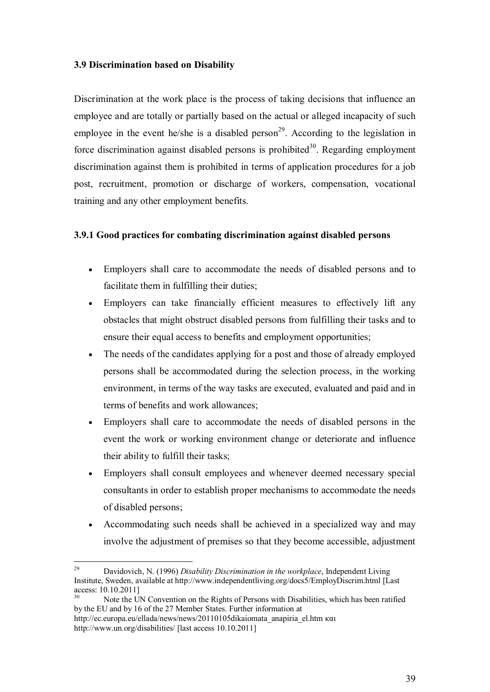### <span id="page-38-0"></span>**3.9 Discrimination based on Disability**

Discrimination at the work place is the process of taking decisions that influence an employee and are totally or partially based on the actual or alleged incapacity of such employee in the event he/she is a disabled person<sup>[29](#page-38-2)</sup>. According to the legislation in force discrimination against disabled persons is prohibited<sup>[30](#page-38-3)</sup>. Regarding employment discrimination against them is prohibited in terms of application procedures for a job post, recruitment, promotion or discharge of workers, compensation, vocational training and any other employment benefits.

### <span id="page-38-1"></span>**3.9.1 Good practices for combating discrimination against disabled persons**

- · Employers shall care to accommodate the needs of disabled persons and to facilitate them in fulfilling their duties;
- · Employers can take financially efficient measures to effectively lift any obstacles that might obstruct disabled persons from fulfilling their tasks and to ensure their equal access to benefits and employment opportunities;
- The needs of the candidates applying for a post and those of already employed persons shall be accommodated during the selection process, in the working environment, in terms of the way tasks are executed, evaluated and paid and in terms of benefits and work allowances;
- · Employers shall care to accommodate the needs of disabled persons in the event the work or working environment change or deteriorate and influence their ability to fulfill their tasks;
- · Employers shall consult employees and whenever deemed necessary special consultants in order to establish proper mechanisms to accommodate the needs of disabled persons;
- · Accommodating such needs shall be achieved in a specialized way and may involve the adjustment of premises so that they become accessible, adjustment

<span id="page-38-2"></span><sup>29</sup> Davidovich, N. (1996) *Disability Discrimination in the workplace*, Independent Living Institute, Sweden, available at http://www.independentliving.org/docs5/EmployDiscrim.html [Last access: 10.10.2011]

<span id="page-38-3"></span>Note the UN Convention on the Rights of Persons with Disabilities, which has been ratified by the EU and by 16 of the 27 Member States. Further information at

http://ec.europa.eu/ellada/news/news/20110105dikaiomata\_anapiria\_el.htm και http://www.un.org/disabilities/ [last access 10.10.2011]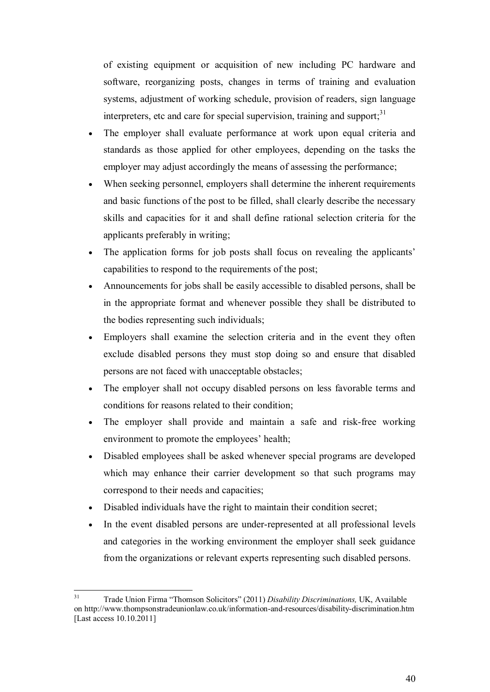of existing equipment or acquisition of new including PC hardware and software, reorganizing posts, changes in terms of training and evaluation systems, adjustment of working schedule, provision of readers, sign language interpreters, etc and care for special supervision, training and support; $31$ 

- · The employer shall evaluate performance at work upon equal criteria and standards as those applied for other employees, depending on the tasks the employer may adjust accordingly the means of assessing the performance;
- When seeking personnel, employers shall determine the inherent requirements and basic functions of the post to be filled, shall clearly describe the necessary skills and capacities for it and shall define rational selection criteria for the applicants preferably in writing;
- · The application forms for job posts shall focus on revealing the applicants' capabilities to respond to the requirements of the post;
- · Announcements for jobs shall be easily accessible to disabled persons, shall be in the appropriate format and whenever possible they shall be distributed to the bodies representing such individuals;
- · Employers shall examine the selection criteria and in the event they often exclude disabled persons they must stop doing so and ensure that disabled persons are not faced with unacceptable obstacles;
- The employer shall not occupy disabled persons on less favorable terms and conditions for reasons related to their condition;
- · The employer shall provide and maintain a safe and risk-free working environment to promote the employees' health;
- · Disabled employees shall be asked whenever special programs are developed which may enhance their carrier development so that such programs may correspond to their needs and capacities;
- Disabled individuals have the right to maintain their condition secret;
- · In the event disabled persons are under-represented at all professional levels and categories in the working environment the employer shall seek guidance from the organizations or relevant experts representing such disabled persons.

<span id="page-39-0"></span><sup>31</sup> Trade Union Firma "Thomson Solicitors" (2011) *Disability Discriminations,* UK, Available on http://www.thompsonstradeunionlaw.co.uk/information-and-resources/disability-discrimination.htm [Last access 10.10.2011]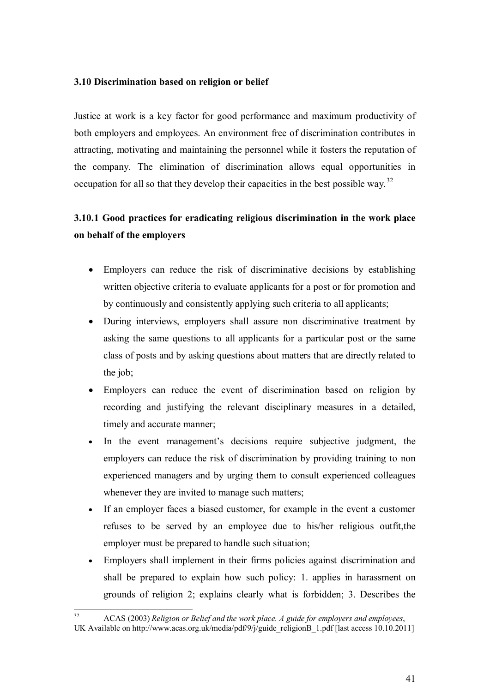### <span id="page-40-0"></span>**3.10 Discrimination based on religion or belief**

Justice at work is a key factor for good performance and maximum productivity of both employers and employees. An environment free of discrimination contributes in attracting, motivating and maintaining the personnel while it fosters the reputation of the company. The elimination of discrimination allows equal opportunities in occupation for all so that they develop their capacities in the best possible way.<sup>[32](#page-40-2)</sup>

# <span id="page-40-1"></span>**3.10.1 Good practices for eradicating religious discrimination in the work place on behalf of the employers**

- Employers can reduce the risk of discriminative decisions by establishing written objective criteria to evaluate applicants for a post or for promotion and by continuously and consistently applying such criteria to all applicants;
- · During interviews, employers shall assure non discriminative treatment by asking the same questions to all applicants for a particular post or the same class of posts and by asking questions about matters that are directly related to the job;
- Employers can reduce the event of discrimination based on religion by recording and justifying the relevant disciplinary measures in a detailed, timely and accurate manner;
- · In the event management's decisions require subjective judgment, the employers can reduce the risk of discrimination by providing training to non experienced managers and by urging them to consult experienced colleagues whenever they are invited to manage such matters;
- · If an employer faces a biased customer, for example in the event a customer refuses to be served by an employee due to his/her religious outfit,the employer must be prepared to handle such situation;
- · Employers shall implement in their firms policies against discrimination and shall be prepared to explain how such policy: 1. applies in harassment on grounds of religion 2; explains clearly what is forbidden; 3. Describes the

<span id="page-40-2"></span><sup>32</sup> ACAS (2003) *Religion or Belief and the work place. A guide for employers and employees*, UK Available on http://www.acas.org.uk/media/pdf/9/j/guide\_religionB\_1.pdf [last access 10.10.2011]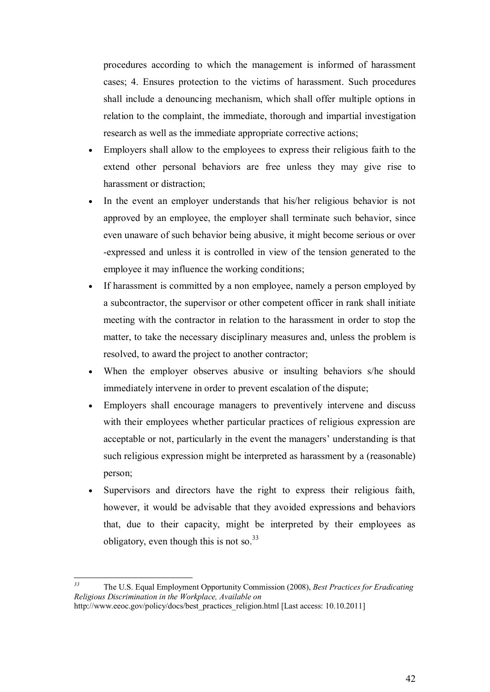procedures according to which the management is informed of harassment cases; 4. Ensures protection to the victims of harassment. Such procedures shall include a denouncing mechanism, which shall offer multiple options in relation to the complaint, the immediate, thorough and impartial investigation research as well as the immediate appropriate corrective actions;

- · Employers shall allow to the employees to express their religious faith to the extend other personal behaviors are free unless they may give rise to harassment or distraction;
- In the event an employer understands that his/her religious behavior is not approved by an employee, the employer shall terminate such behavior, since even unaware of such behavior being abusive, it might become serious or over -expressed and unless it is controlled in view of the tension generated to the employee it may influence the working conditions;
- If harassment is committed by a non employee, namely a person employed by a subcontractor, the supervisor or other competent officer in rank shall initiate meeting with the contractor in relation to the harassment in order to stop the matter, to take the necessary disciplinary measures and, unless the problem is resolved, to award the project to another contractor;
- When the employer observes abusive or insulting behaviors s/he should immediately intervene in order to prevent escalation of the dispute;
- Employers shall encourage managers to preventively intervene and discuss with their employees whether particular practices of religious expression are acceptable or not, particularly in the event the managers' understanding is that such religious expression might be interpreted as harassment by a (reasonable) person;
- Supervisors and directors have the right to express their religious faith, however, it would be advisable that they avoided expressions and behaviors that, due to their capacity, might be interpreted by their employees as obligatory, even though this is not so.  $33$

*<sup>33</sup>* The U.S. Equal Employment Opportunity Commission (2008), *Best Practices for Eradicating Religious Discrimination in the Workplace, Available on*

http://www.eeoc.gov/policy/docs/best\_practices\_religion.html [Last access: 10.10.2011]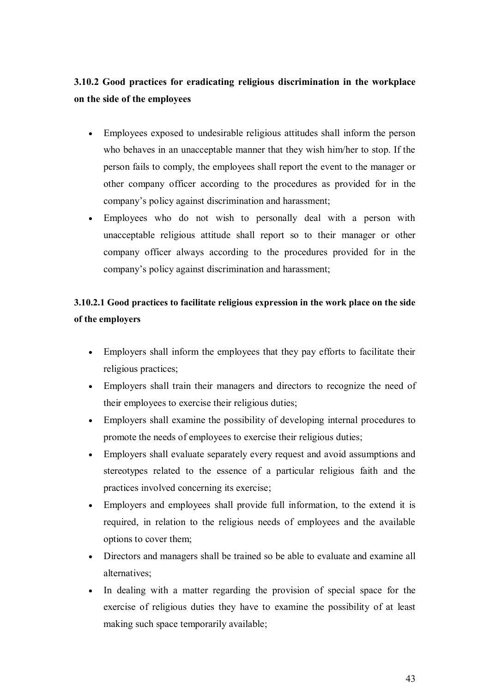# <span id="page-42-0"></span>**3.10.2 Good practices for eradicating religious discrimination in the workplace on the side of the employees**

- · Employees exposed to undesirable religious attitudes shall inform the person who behaves in an unacceptable manner that they wish him/her to stop. If the person fails to comply, the employees shall report the event to the manager or other company officer according to the procedures as provided for in the company's policy against discrimination and harassment;
- · Employees who do not wish to personally deal with a person with unacceptable religious attitude shall report so to their manager or other company officer always according to the procedures provided for in the company's policy against discrimination and harassment;

# <span id="page-42-1"></span>**3.10.2.1 Good practices to facilitate religious expression in the work place on the side of the employers**

- Employers shall inform the employees that they pay efforts to facilitate their religious practices;
- · Employers shall train their managers and directors to recognize the need of their employees to exercise their religious duties;
- · Employers shall examine the possibility of developing internal procedures to promote the needs of employees to exercise their religious duties;
- · Employers shall evaluate separately every request and avoid assumptions and stereotypes related to the essence of a particular religious faith and the practices involved concerning its exercise;
- · Employers and employees shall provide full information, to the extend it is required, in relation to the religious needs of employees and the available options to cover them;
- · Directors and managers shall be trained so be able to evaluate and examine all alternatives;
- In dealing with a matter regarding the provision of special space for the exercise of religious duties they have to examine the possibility of at least making such space temporarily available;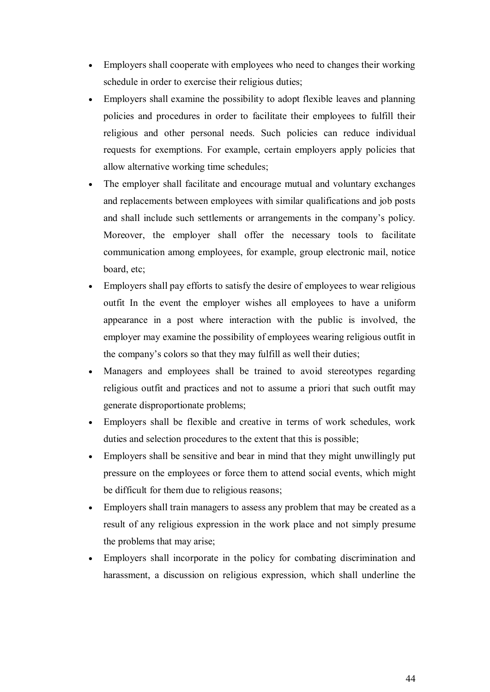- Employers shall cooperate with employees who need to changes their working schedule in order to exercise their religious duties;
- Employers shall examine the possibility to adopt flexible leaves and planning policies and procedures in order to facilitate their employees to fulfill their religious and other personal needs. Such policies can reduce individual requests for exemptions. For example, certain employers apply policies that allow alternative working time schedules;
- The employer shall facilitate and encourage mutual and voluntary exchanges and replacements between employees with similar qualifications and job posts and shall include such settlements or arrangements in the company's policy. Moreover, the employer shall offer the necessary tools to facilitate communication among employees, for example, group electronic mail, notice board, etc;
- Employers shall pay efforts to satisfy the desire of employees to wear religious outfit In the event the employer wishes all employees to have a uniform appearance in a post where interaction with the public is involved, the employer may examine the possibility of employees wearing religious outfit in the company's colors so that they may fulfill as well their duties;
- Managers and employees shall be trained to avoid stereotypes regarding religious outfit and practices and not to assume a priori that such outfit may generate disproportionate problems;
- Employers shall be flexible and creative in terms of work schedules, work duties and selection procedures to the extent that this is possible;
- · Employers shall be sensitive and bear in mind that they might unwillingly put pressure on the employees or force them to attend social events, which might be difficult for them due to religious reasons;
- Employers shall train managers to assess any problem that may be created as a result of any religious expression in the work place and not simply presume the problems that may arise;
- · Employers shall incorporate in the policy for combating discrimination and harassment, a discussion on religious expression, which shall underline the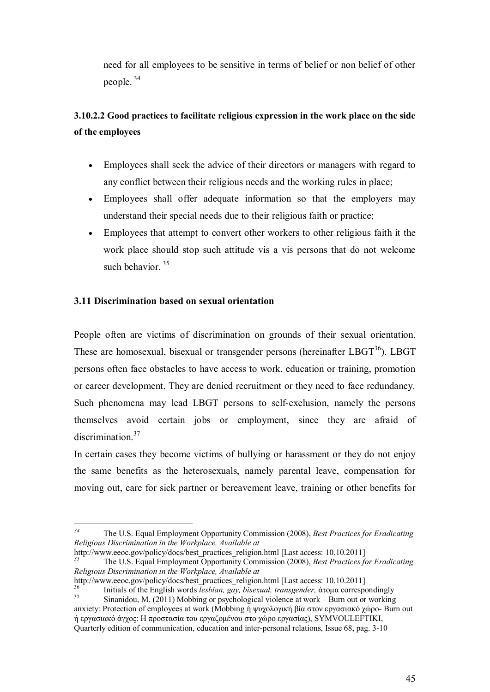need for all employees to be sensitive in terms of belief or non belief of other people. [34](#page-44-2)

# <span id="page-44-0"></span>**3.10.2.2 Good practices to facilitate religious expression in the work place on the side of the employees**

- · Employees shall seek the advice of their directors or managers with regard to any conflict between their religious needs and the working rules in place;
- · Employees shall offer adequate information so that the employers may understand their special needs due to their religious faith or practice;
- · Employees that attempt to convert other workers to other religious faith it the work place should stop such attitude vis a vis persons that do not welcome such behavior  $35$

### <span id="page-44-1"></span>**3.11 Discrimination based on sexual orientation**

People often are victims of discrimination on grounds of their sexual orientation. These are homosexual, bisexual or transgender persons (hereinafter  $LBGT^{36}$  $LBGT^{36}$  $LBGT^{36}$ ). LBGT persons often face obstacles to have access to work, education or training, promotion or career development. They are denied recruitment or they need to face redundancy. Such phenomena may lead LBGT persons to self-exclusion, namely the persons themselves avoid certain jobs or employment, since they are afraid of discrimination.<sup>[37](#page-44-5)</sup>

In certain cases they become victims of bullying or harassment or they do not enjoy the same benefits as the heterosexuals, namely parental leave, compensation for moving out, care for sick partner or bereavement leave, training or other benefits for

http://www.eeoc.gov/policy/docs/best\_practices\_religion.html [Last access: 10.10.2011]

http://www.eeoc.gov/policy/docs/best\_practices\_religion.html [Last access: 10.10.2011]

<span id="page-44-2"></span>*<sup>34</sup>* The U.S. Equal Employment Opportunity Commission (2008), *Best Practices for Eradicating Religious Discrimination in the Workplace, Available at*

<span id="page-44-3"></span>*<sup>35</sup>* The U.S. Equal Employment Opportunity Commission (2008), *Best Practices for Eradicating Religious Discrimination in the Workplace, Available at*

<span id="page-44-5"></span><span id="page-44-4"></span><sup>36</sup> Initials of the English words *lesbian, gay, bisexual, transgender,* άτομα correspondingly  $S$ inanidou, M. (2011) Mobbing or psychological violence at work – Burn out or working anxiety: Protection of employees at work (Mobbing ή ψυχολογική βία στον εργασιακό χώρο- Burn out ή εργασιακό άγχος: Ǿ προστασία του εργαζομένου στο χώρο εργασίας), SYMVOULEFTIKI, Quarterly edition of communication, education and inter-personal relations, Issue 68, pag. 3-10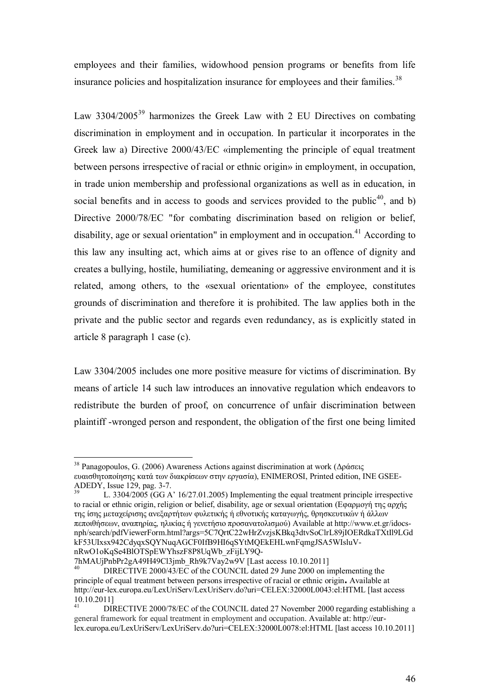employees and their families, widowhood pension programs or benefits from life insurance policies and hospitalization insurance for employees and their families.<sup>[38](#page-45-0)</sup>

Law  $3304/2005^{39}$  $3304/2005^{39}$  $3304/2005^{39}$  harmonizes the Greek Law with 2 EU Directives on combating discrimination in employment and in occupation. In particular it incorporates in the Greek law a) Directive 2000/43/EC «implementing the principle of equal treatment between persons irrespective of racial or ethnic origin» in employment, in occupation, in trade union membership and professional organizations as well as in education, in social benefits and in access to goods and services provided to the public<sup>[40](#page-45-2)</sup>, and b) Directive 2000/78/EC "for combating discrimination based on religion or belief, disability, age or sexual orientation" in employment and in occupation.<sup>[41](#page-45-3)</sup> According to this law any insulting act, which aims at or gives rise to an offence of dignity and creates a bullying, hostile, humiliating, demeaning or aggressive environment and it is related, among others, to the «sexual orientation» of the employee, constitutes grounds of discrimination and therefore it is prohibited. The law applies both in the private and the public sector and regards even redundancy, as is explicitly stated in article 8 paragraph 1 case (c).

Law 3304/2005 includes one more positive measure for victims of discrimination. By means of article 14 such law introduces an innovative regulation which endeavors to redistribute the burden of proof, on concurrence of unfair discrimination between plaintiff -wronged person and respondent, the obligation of the first one being limited

<span id="page-45-0"></span><sup>&</sup>lt;sup>38</sup> Panagopoulos, G. (2006) Awareness Actions against discrimination at work (Δράσεις ευαισθητοποίησης κατά των διακρίσεων στην εργασία), ENIMEROSI, Printed edition, INE GSEE-ADEDY, Issue 129, pag. 3-7.

<span id="page-45-1"></span>L. 3304/2005 (GG A' 16/27.01.2005) Implementing the equal treatment principle irrespective to racial or ethnic origin, religion or belief, disability, age or sexual orientation (Εφαρμογή της αρχής της ίσης μεταχείρισης ανεξαρτήτων φυλετικής ή εθνοτικής καταγωγής, θρησκευτικών ή άλλων πεποιθήσεων, αναπηρίας, ηλικίας ή γενετήσιο προσανατολισμού) Available at http://www.et.gr/idocsnph/search/pdfViewerForm.html?args=5C7QrtC22wHrZvzjsKBkq3dtvSoClrL89jIOERdkaTXtIl9LGd kF53UIxsx942CdyqxSQYNuqAGCF0IfB9HI6qSYtMQEkEHLwnFqmgJSA5WIsluVnRwO1oKqSe4BlOTSpEWYhszF8P8UqWb\_zFijLY9Q-

<sup>7</sup>hMAUjPnbPr2gA49H49Cl3jmb\_Rh9k7Vay2w9V [Last access 10.10.2011]

<span id="page-45-2"></span>DIRECTIVE 2000/43/EC of the COUNCIL dated 29 June 2000 on implementing the principle of equal treatment between persons irrespective of racial or ethnic origin**.** Available at http://eur-lex.europa.eu/LexUriServ/LexUriServ.do?uri=CELEX:32000L0043:el:HTML [last access  $10.10.2011$ ]

<span id="page-45-3"></span>DIRECTIVE 2000/78/EC of the COUNCIL dated 27 November 2000 regarding establishing a general framework for equal treatment in employment and occupation. Available at: http://eurlex.europa.eu/LexUriServ/LexUriServ.do?uri=CELEX:32000L0078:el:HTML [last access 10.10.2011]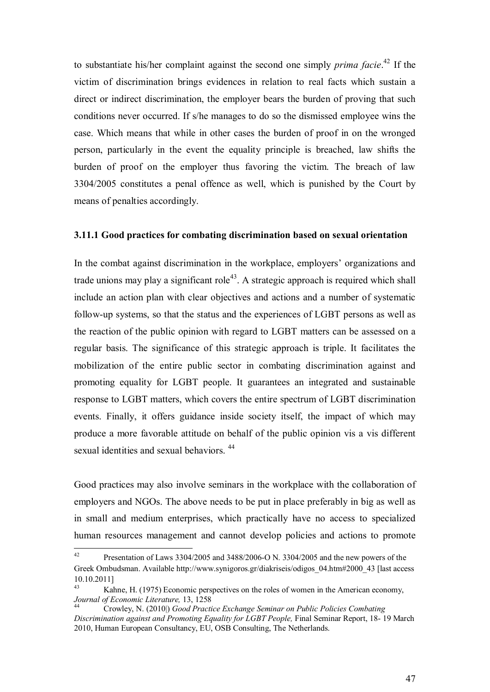to substantiate his/her complaint against the second one simply *prima facie*. [42](#page-46-1) If the victim of discrimination brings evidences in relation to real facts which sustain a direct or indirect discrimination, the employer bears the burden of proving that such conditions never occurred. If s/he manages to do so the dismissed employee wins the case. Which means that while in other cases the burden of proof in on the wronged person, particularly in the event the equality principle is breached, law shifts the burden of proof on the employer thus favoring the victim. The breach of law 3304/2005 constitutes a penal offence as well, which is punished by the Court by means of penalties accordingly.

#### <span id="page-46-0"></span>**3.11.1 Good practices for combating discrimination based on sexual orientation**

In the combat against discrimination in the workplace, employers' organizations and trade unions may play a significant role<sup>[43](#page-46-2)</sup>. A strategic approach is required which shall include an action plan with clear objectives and actions and a number of systematic follow-up systems, so that the status and the experiences of LGBT persons as well as the reaction of the public opinion with regard to LGBT matters can be assessed on a regular basis. The significance of this strategic approach is triple. It facilitates the mobilization of the entire public sector in combating discrimination against and promoting equality for LGBT people. It guarantees an integrated and sustainable response to LGBT matters, which covers the entire spectrum of LGBT discrimination events. Finally, it offers guidance inside society itself, the impact of which may produce a more favorable attitude on behalf of the public opinion vis a vis different sexual identities and sexual behaviors.<sup>[44](#page-46-3)</sup>

Good practices may also involve seminars in the workplace with the collaboration of employers and NGOs. The above needs to be put in place preferably in big as well as in small and medium enterprises, which practically have no access to specialized human resources management and cannot develop policies and actions to promote

<span id="page-46-1"></span><sup>&</sup>lt;sup>42</sup> Presentation of Laws 3304/2005 and 3488/2006-O N. 3304/2005 and the new powers of the Greek Ombudsman. Available http://www.synigoros.gr/diakriseis/odigos\_04.htm#2000\_43 [last access  $10.10.2011$ ]

<span id="page-46-2"></span>Kahne, H. (1975) Economic perspectives on the roles of women in the American economy, *Journal of Economic Literature,* 13, 1258

<span id="page-46-3"></span><sup>44</sup> Crowley, N. (2010|) *Good Practice Exchange Seminar on Public Policies Combating Discrimination against and Promoting Equality for LGBT People,* Final Seminar Report, 18- 19 March 2010, Human European Consultancy, EU, OSB Consulting, The Netherlands.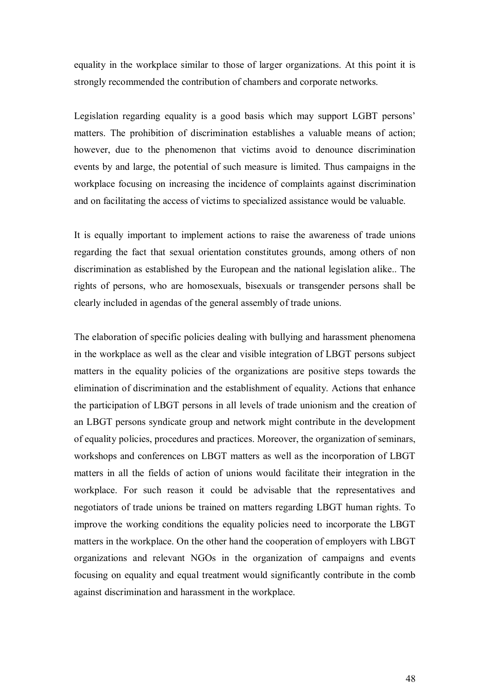equality in the workplace similar to those of larger organizations. At this point it is strongly recommended the contribution of chambers and corporate networks.

Legislation regarding equality is a good basis which may support LGBT persons' matters. The prohibition of discrimination establishes a valuable means of action; however, due to the phenomenon that victims avoid to denounce discrimination events by and large, the potential of such measure is limited. Thus campaigns in the workplace focusing on increasing the incidence of complaints against discrimination and on facilitating the access of victims to specialized assistance would be valuable.

It is equally important to implement actions to raise the awareness of trade unions regarding the fact that sexual orientation constitutes grounds, among others of non discrimination as established by the European and the national legislation alike.. The rights of persons, who are homosexuals, bisexuals or transgender persons shall be clearly included in agendas of the general assembly of trade unions.

The elaboration of specific policies dealing with bullying and harassment phenomena in the workplace as well as the clear and visible integration of LBGT persons subject matters in the equality policies of the organizations are positive steps towards the elimination of discrimination and the establishment of equality. Actions that enhance the participation of LBGT persons in all levels of trade unionism and the creation of an LBGT persons syndicate group and network might contribute in the development of equality policies, procedures and practices. Moreover, the organization of seminars, workshops and conferences on LBGT matters as well as the incorporation of LBGT matters in all the fields of action of unions would facilitate their integration in the workplace. For such reason it could be advisable that the representatives and negotiators of trade unions be trained on matters regarding LBGT human rights. To improve the working conditions the equality policies need to incorporate the LBGT matters in the workplace. On the other hand the cooperation of employers with LBGT organizations and relevant NGOs in the organization of campaigns and events focusing on equality and equal treatment would significantly contribute in the comb against discrimination and harassment in the workplace.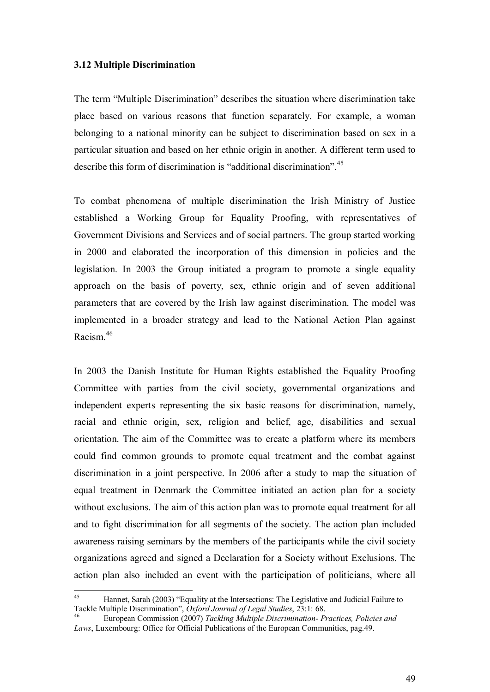#### **3.12 Multiple Discrimination**

The term "Multiple Discrimination" describes the situation where discrimination take place based on various reasons that function separately. For example, a woman belonging to a national minority can be subject to discrimination based on sex in a particular situation and based on her ethnic origin in another. A different term used to describe this form of discrimination is "additional discrimination".<sup>[45](#page-48-0)</sup>

To combat phenomena of multiple discrimination the Irish Ministry of Justice established a Working Group for Equality Proofing, with representatives of Government Divisions and Services and of social partners. The group started working in 2000 and elaborated the incorporation of this dimension in policies and the legislation. In 2003 the Group initiated a program to promote a single equality approach on the basis of poverty, sex, ethnic origin and of seven additional parameters that are covered by the Irish law against discrimination. The model was implemented in a broader strategy and lead to the National Action Plan against Racism.[46](#page-48-1)

In 2003 the Danish Institute for Human Rights established the Equality Proofing Committee with parties from the civil society, governmental organizations and independent experts representing the six basic reasons for discrimination, namely, racial and ethnic origin, sex, religion and belief, age, disabilities and sexual orientation. The aim of the Committee was to create a platform where its members could find common grounds to promote equal treatment and the combat against discrimination in a joint perspective. In 2006 after a study to map the situation of equal treatment in Denmark the Committee initiated an action plan for a society without exclusions. The aim of this action plan was to promote equal treatment for all and to fight discrimination for all segments of the society. The action plan included awareness raising seminars by the members of the participants while the civil society organizations agreed and signed a Declaration for a Society without Exclusions. The action plan also included an event with the participation of politicians, where all

<span id="page-48-0"></span><sup>45</sup> Hannet, Sarah (2003) "Equality at the Intersections: The Legislative and Judicial Failure to Tackle Multiple Discrimination", *Oxford Journal of Legal Studies*, 23:1: 68.

<span id="page-48-1"></span><sup>46</sup> European Commission (2007) *Tackling Multiple Discrimination- Practices, Policies and Laws*, Luxembourg: Office for Official Publications of the European Communities, pag. 49.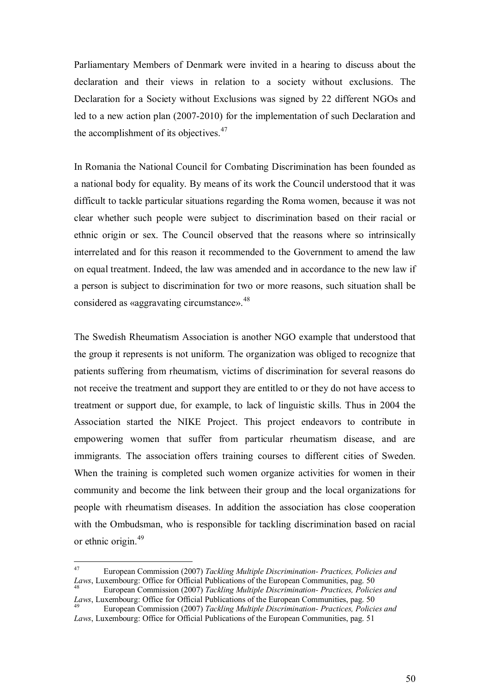Parliamentary Members of Denmark were invited in a hearing to discuss about the declaration and their views in relation to a society without exclusions. The Declaration for a Society without Exclusions was signed by 22 different NGOs and led to a new action plan (2007-2010) for the implementation of such Declaration and the accomplishment of its objectives.<sup>[47](#page-49-0)</sup>

In Romania the National Council for Combating Discrimination has been founded as a national body for equality. By means of its work the Council understood that it was difficult to tackle particular situations regarding the Roma women, because it was not clear whether such people were subject to discrimination based on their racial or ethnic origin or sex. The Council observed that the reasons where so intrinsically interrelated and for this reason it recommended to the Government to amend the law on equal treatment. Indeed, the law was amended and in accordance to the new law if a person is subject to discrimination for two or more reasons, such situation shall be considered as «aggravating circumstance».[48](#page-49-1)

The Swedish Rheumatism Association is another NGO example that understood that the group it represents is not uniform. The organization was obliged to recognize that patients suffering from rheumatism, victims of discrimination for several reasons do not receive the treatment and support they are entitled to or they do not have access to treatment or support due, for example, to lack of linguistic skills. Thus in 2004 the Association started the NIKE Project. This project endeavors to contribute in empowering women that suffer from particular rheumatism disease, and are immigrants. The association offers training courses to different cities of Sweden. When the training is completed such women organize activities for women in their community and become the link between their group and the local organizations for people with rheumatism diseases. In addition the association has close cooperation with the Ombudsman, who is responsible for tackling discrimination based on racial or ethnic origin.<sup>49</sup>

<span id="page-49-0"></span><sup>47</sup> European Commission (2007) *Tackling Multiple Discrimination- Practices, Policies and* Laws, Luxembourg: Office for Official Publications of the European Communities, pag. 50

<span id="page-49-1"></span><sup>48</sup> European Commission (2007) *Tackling Multiple Discrimination- Practices, Policies and Laws*, Luxembourg: Office for Official Publications of the European Communities, pag. 50

<sup>49</sup> European Commission (2007) *Tackling Multiple Discrimination- Practices, Policies and Laws*, Luxembourg: Office for Official Publications of the European Communities, pag. 51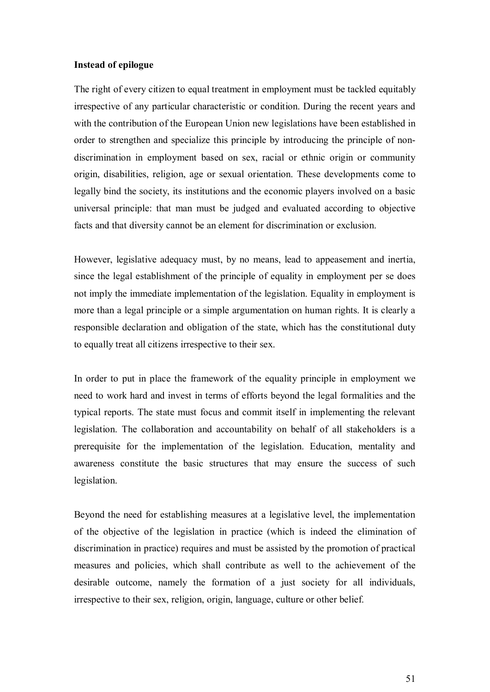### <span id="page-50-0"></span>**Instead of epilogue**

The right of every citizen to equal treatment in employment must be tackled equitably irrespective of any particular characteristic or condition. During the recent years and with the contribution of the European Union new legislations have been established in order to strengthen and specialize this principle by introducing the principle of nondiscrimination in employment based on sex, racial or ethnic origin or community origin, disabilities, religion, age or sexual orientation. These developments come to legally bind the society, its institutions and the economic players involved on a basic universal principle: that man must be judged and evaluated according to objective facts and that diversity cannot be an element for discrimination or exclusion.

However, legislative adequacy must, by no means, lead to appeasement and inertia, since the legal establishment of the principle of equality in employment per se does not imply the immediate implementation of the legislation. Equality in employment is more than a legal principle or a simple argumentation on human rights. It is clearly a responsible declaration and obligation of the state, which has the constitutional duty to equally treat all citizens irrespective to their sex.

In order to put in place the framework of the equality principle in employment we need to work hard and invest in terms of efforts beyond the legal formalities and the typical reports. The state must focus and commit itself in implementing the relevant legislation. The collaboration and accountability on behalf of all stakeholders is a prerequisite for the implementation of the legislation. Education, mentality and awareness constitute the basic structures that may ensure the success of such legislation.

Beyond the need for establishing measures at a legislative level, the implementation of the objective of the legislation in practice (which is indeed the elimination of discrimination in practice) requires and must be assisted by the promotion of practical measures and policies, which shall contribute as well to the achievement of the desirable outcome, namely the formation of a just society for all individuals, irrespective to their sex, religion, origin, language, culture or other belief.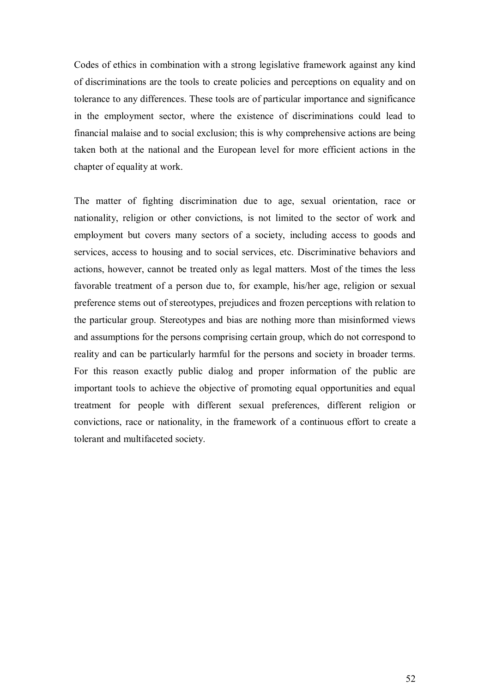Codes of ethics in combination with a strong legislative framework against any kind of discriminations are the tools to create policies and perceptions on equality and on tolerance to any differences. These tools are of particular importance and significance in the employment sector, where the existence of discriminations could lead to financial malaise and to social exclusion; this is why comprehensive actions are being taken both at the national and the European level for more efficient actions in the chapter of equality at work.

The matter of fighting discrimination due to age, sexual orientation, race or nationality, religion or other convictions, is not limited to the sector of work and employment but covers many sectors of a society, including access to goods and services, access to housing and to social services, etc. Discriminative behaviors and actions, however, cannot be treated only as legal matters. Most of the times the less favorable treatment of a person due to, for example, his/her age, religion or sexual preference stems out of stereotypes, prejudices and frozen perceptions with relation to the particular group. Stereotypes and bias are nothing more than misinformed views and assumptions for the persons comprising certain group, which do not correspond to reality and can be particularly harmful for the persons and society in broader terms. For this reason exactly public dialog and proper information of the public are important tools to achieve the objective of promoting equal opportunities and equal treatment for people with different sexual preferences, different religion or convictions, race or nationality, in the framework of a continuous effort to create a tolerant and multifaceted society.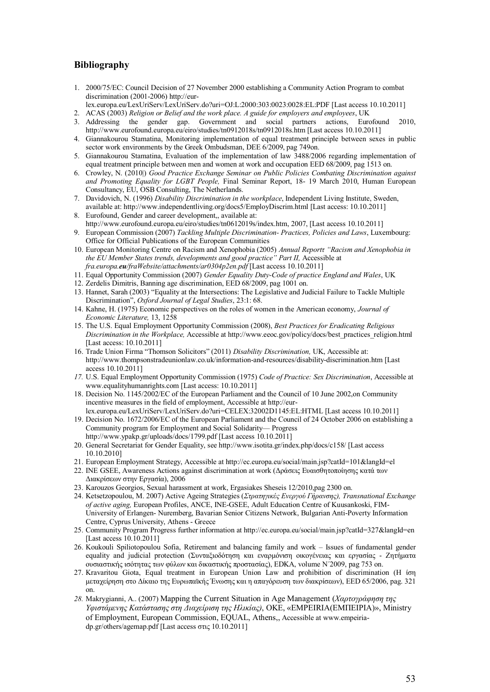### <span id="page-52-0"></span>**Bibliography**

- 1. 2000/75/EC: Council Decision of 27 November 2000 establishing a Community Action Program to combat discrimination (2001-2006) http://eur-
- lex.europa.eu/LexUriServ/LexUriServ.do?uri=OJ:L:2000:303:0023:0028:EL:PDF [Last access 10.10.2011] 2. ACAS (2003) *Religion or Belief and the work place. A guide for employers and employees*, UK
- 3. Addressing the gender gap. Government and social partners actions, Eurofound 2010, http://www.eurofound.europa.eu/eiro/studies/tn0912018s/tn0912018s.htm [Last access 10.10.2011]
- 4. Giannakourou Stamatina, Monitoring implementation of equal treatment principle between sexes in public sector work environments by the Greek Ombudsman, DEE 6/2009, pag 749on.
- 5. Giannakourou Stamatina, Evaluation of the implementation of law 3488/2006 regarding implementation of equal treatment principle between men and women at work and occupation EED 68/2009, pag 1513 on.
- 6. Crowley, N. (2010|) *Good Practice Exchange Seminar on Public Policies Combating Discrimination against and Promoting Equality for LGBT People,* Final Seminar Report, 18- 19 March 2010, Human European Consultancy, EU, OSB Consulting, The Netherlands.
- 7. Davidovich, N. (1996) *Disability Discrimination in the workplace*, Independent Living Institute, Sweden, available at: http://www.independentliving.org/docs5/EmployDiscrim.html [Last access: 10.10.2011]
- 8. Eurofound, Gender and career development,, available at:
- http://www.eurofound.europa.eu/eiro/studies/tn0612019s/index.htm, 2007, [Last access 10.10.2011] 9. European Commission (2007) *Tackling Multiple Discrimination- Practices, Policies and Laws*, Luxembourg: Office for Official Publications of the European Communities
- 10. European Monitoring Centre on Racism and Xenophobia (2005) *Annual Reportτ "Racism and Xenophobia in the EU Member States trends, developments and good practice" Part II,* Accessible at *fra.europa.eu/fraWebsite/attachments/ar0304p2en.pdf* [Last access 10.10.2011]
- 11. Equal Opportunity Commission (2007) *Gender Equality Duty-Code of practice England and Wales*, UK
- 12. Zerdelis Dimitris, Banning age discrimination, EED 68/2009, pag 1001 on.
- 13. Hannet, Sarah (2003) "Equality at the Intersections: The Legislative and Judicial Failure to Tackle Multiple Discrimination", *Oxford Journal of Legal Studies*, 23:1: 68.
- 14. Kahne, H. (1975) Economic perspectives on the roles of women in the American economy, *Journal of Economic Literature,* 13, 1258
- 15. The U.S. Equal Employment Opportunity Commission (2008), *Best Practices for Eradicating Religious Discrimination in the Workplace,* Accessible at http://www.eeoc.gov/policy/docs/best\_practices\_religion.html [Last access: 10.10.2011]
- 16. Trade Union Firma "Thomson Solicitors" (2011) *Disability Discrimination,* UK, Accessible at: http://www.thompsonstradeunionlaw.co.uk/information-and-resources/disability-discrimination.htm [Last access 10.10.2011]
- *17.* U.S. Equal Employment Opportunity Commission (1975) *Code of Practice: Sex Discrimination*, Accessible at www.equalityhumanrights.com [Last access: 10.10.2011]
- 18. Decision No. 1145/2002/EC of the European Parliament and the Council of 10 June 2002,on Community incentive measures in the field of employment, Accessible at http://eurlex.europa.eu/LexUriServ/LexUriServ.do?uri=CELEX:32002D1145:EL:HTML [Last access 10.10.2011]
- 19. Decision No. 1672/2006/EC of the European Parliament and the Council of 24 October 2006 on establishing a Community program for Employment and Social Solidarity— Progress http://www.ypakp.gr/uploads/docs/1799.pdf [Last access 10.10.2011]
- 20. General Secretariat for Gender Equality, see http://www.isotita.gr/index.php/docs/c158/ [Last access 10.10.2010]
- 21. European Employment Strategy, Accessible at http://ec.europa.eu/social/main.jsp?catId=101&langId=el
- 22. INE GSEE, Awareness Actions against discrimination at work (Δράσεις Ευαισθητοποίησης κατά των
- Διακρίσεων στην Εργασία), 2006
- 23. Karouzos Georgios, Sexual harassment at work, Ergasiakes Sheseis 12/2010,pag 2300 on.
- 24. Ketsetzopoulou, M. 2007) Active Ageing Strategies (*Στρατηγικές Ενεργού Γήρανσης), Transnational Exchange of active aging,* European Profiles, ANCE, INE-GSEE, Adult Education Centre of Kuusankoski, FIM-University of Erlangen- Nuremberg, Bavarian Senior Citizens Network, Bulgarian Anti-Poverty Information Centre, Cyprus University, Athens - Greece
- 25. Community Program Progress further information at http://ec.europa.eu/social/main.jsp?catId=327&langId=en [Last access 10.10.2011]
- 26. Koukouli Spiliotopoulou Sofia, Retirement and balancing family and work Issues of fundamental gender equality and judicial protection (Συνταξιοδότηση και εναρμόνιση οικογένειας και εργασίας - Ζητήματα ουσιαστικής ισότητας των φύλων και δικαστικής προστασίας), EDKA, volume Ν΄2009, pag 753 on.
- 27. Kravaritou Giota, Equal treatment in European Union Law and prohibition of discrimination (H ίση μεταχείρηση στο Δίκαιο της Ευρωπαϊκής Ένωσης και η απαγόρευση των διακρίσεων), EED 65/2006, pag. 321 on.
- *28.* Makrygianni, A.. (2007) Mapping the Current Situation in Age Management (*Χαρτογράφηση της Υφιστάμενης Κατάστασης στη Διαχείριση της Ηλικίας)*, ΟȀǼ, «EMPEIRIA(ǼΜΠǼǿΡǿΑ)», Ministry of Employment, European Commission, EQUAL, Athens,, Accessible at www.empeiriadp.gr/others/agemap.pdf [Last access στις 10.10.2011]